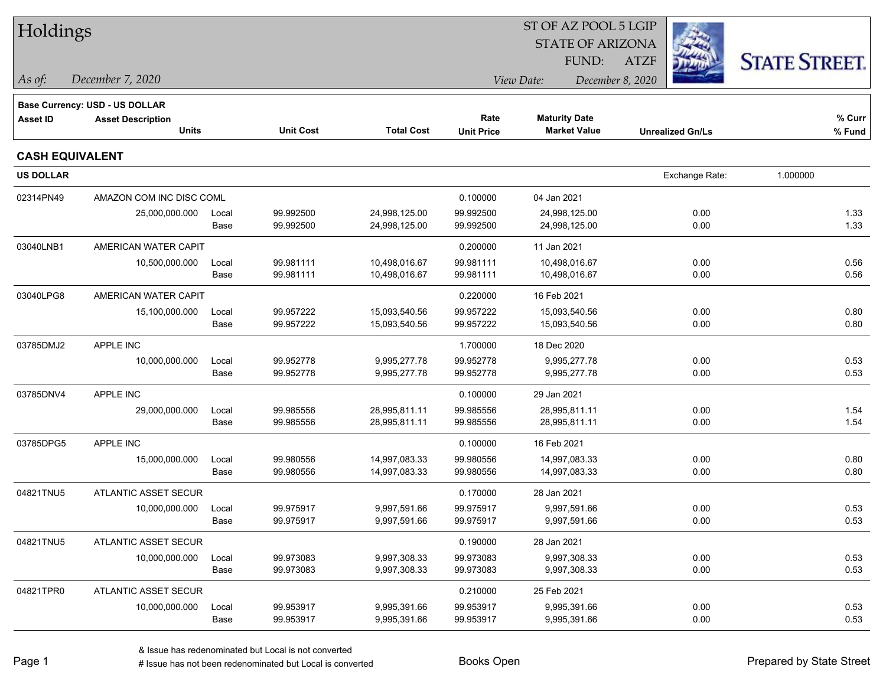| Holdings               |                                |       |                  |                   |                   |                         |                         |                      |
|------------------------|--------------------------------|-------|------------------|-------------------|-------------------|-------------------------|-------------------------|----------------------|
|                        |                                |       |                  |                   |                   | <b>STATE OF ARIZONA</b> |                         |                      |
|                        |                                |       |                  |                   |                   | FUND:                   | <b>ATZF</b>             | <b>STATE STREET.</b> |
| As of:                 | December 7, 2020               |       |                  |                   |                   | View Date:              | December 8, 2020        |                      |
|                        | Base Currency: USD - US DOLLAR |       |                  |                   |                   |                         |                         |                      |
| <b>Asset ID</b>        | <b>Asset Description</b>       |       |                  |                   | Rate              | <b>Maturity Date</b>    |                         | % Curr               |
|                        | <b>Units</b>                   |       | <b>Unit Cost</b> | <b>Total Cost</b> | <b>Unit Price</b> | <b>Market Value</b>     | <b>Unrealized Gn/Ls</b> | % Fund               |
| <b>CASH EQUIVALENT</b> |                                |       |                  |                   |                   |                         |                         |                      |
| <b>US DOLLAR</b>       |                                |       |                  |                   |                   |                         | Exchange Rate:          | 1.000000             |
| 02314PN49              | AMAZON COM INC DISC COML       |       |                  |                   | 0.100000          | 04 Jan 2021             |                         |                      |
|                        | 25,000,000.000                 | Local | 99.992500        | 24,998,125.00     | 99.992500         | 24,998,125.00           | 0.00                    | 1.33                 |
|                        |                                | Base  | 99.992500        | 24,998,125.00     | 99.992500         | 24,998,125.00           | 0.00                    | 1.33                 |
| 03040LNB1              | AMERICAN WATER CAPIT           |       |                  |                   | 0.200000          | 11 Jan 2021             |                         |                      |
|                        | 10,500,000.000                 | Local | 99.981111        | 10,498,016.67     | 99.981111         | 10,498,016.67           | 0.00                    | 0.56                 |
|                        |                                | Base  | 99.981111        | 10,498,016.67     | 99.981111         | 10,498,016.67           | 0.00                    | 0.56                 |
| 03040LPG8              | AMERICAN WATER CAPIT           |       |                  |                   | 0.220000          | 16 Feb 2021             |                         |                      |
|                        | 15,100,000.000                 | Local | 99.957222        | 15,093,540.56     | 99.957222         | 15,093,540.56           | 0.00                    | 0.80                 |
|                        |                                | Base  | 99.957222        | 15,093,540.56     | 99.957222         | 15,093,540.56           | 0.00                    | 0.80                 |
| 03785DMJ2              | APPLE INC                      |       |                  |                   | 1.700000          | 18 Dec 2020             |                         |                      |
|                        | 10,000,000.000                 | Local | 99.952778        | 9,995,277.78      | 99.952778         | 9,995,277.78            | 0.00                    | 0.53                 |
|                        |                                | Base  | 99.952778        | 9,995,277.78      | 99.952778         | 9,995,277.78            | 0.00                    | 0.53                 |
| 03785DNV4              | APPLE INC                      |       |                  |                   | 0.100000          | 29 Jan 2021             |                         |                      |
|                        | 29,000,000.000                 | Local | 99.985556        | 28,995,811.11     | 99.985556         | 28,995,811.11           | 0.00                    | 1.54                 |
|                        |                                | Base  | 99.985556        | 28,995,811.11     | 99.985556         | 28,995,811.11           | 0.00                    | 1.54                 |
| 03785DPG5              | <b>APPLE INC</b>               |       |                  |                   | 0.100000          | 16 Feb 2021             |                         |                      |
|                        | 15,000,000.000                 | Local | 99.980556        | 14,997,083.33     | 99.980556         | 14,997,083.33           | 0.00                    | 0.80                 |
|                        |                                | Base  | 99.980556        | 14,997,083.33     | 99.980556         | 14,997,083.33           | 0.00                    | 0.80                 |
| 04821TNU5              | ATLANTIC ASSET SECUR           |       |                  |                   | 0.170000          | 28 Jan 2021             |                         |                      |
|                        | 10,000,000.000                 | Local | 99.975917        | 9,997,591.66      | 99.975917         | 9,997,591.66            | 0.00                    | 0.53                 |
|                        |                                | Base  | 99.975917        | 9,997,591.66      | 99.975917         | 9,997,591.66            | 0.00                    | 0.53                 |
| 04821TNU5              | ATLANTIC ASSET SECUR           |       |                  |                   | 0.190000          | 28 Jan 2021             |                         |                      |
|                        | 10,000,000.000                 | Local | 99.973083        | 9,997,308.33      | 99.973083         | 9,997,308.33            | 0.00                    | 0.53                 |
|                        |                                | Base  | 99.973083        | 9,997,308.33      | 99.973083         | 9,997,308.33            | 0.00                    | 0.53                 |
| 04821TPR0              | ATLANTIC ASSET SECUR           |       |                  |                   | 0.210000          | 25 Feb 2021             |                         |                      |
|                        | 10,000,000.000                 | Local | 99.953917        | 9,995,391.66      | 99.953917         | 9,995,391.66            | 0.00                    | 0.53                 |
|                        |                                | Base  | 99.953917        | 9,995,391.66      | 99.953917         | 9,995,391.66            | 0.00                    | 0.53                 |
|                        |                                |       |                  |                   |                   |                         |                         |                      |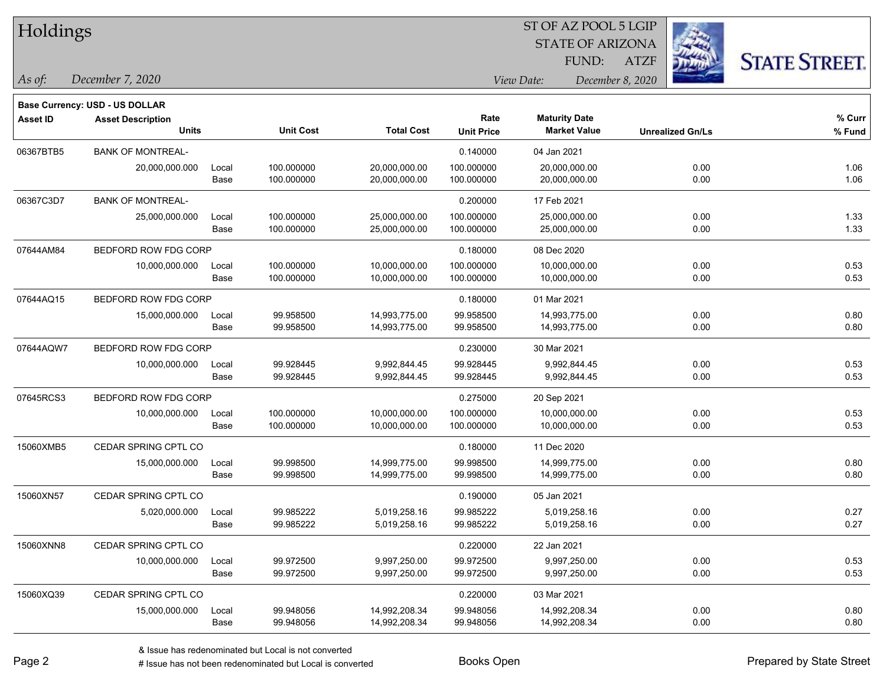| Holdings |  |
|----------|--|
|----------|--|

## STATE OF ARIZONA ST OF AZ POOL 5 LGIP

ATZF



**Base Currency: USD - US DOLLAR**

*December 7, 2020 As of: View Date: December 8, 2020* FUND:

| <b>Asset ID</b> | <b>Asset Description</b><br><b>Units</b> |       | <b>Unit Cost</b> | <b>Total Cost</b> | Rate<br><b>Unit Price</b> | <b>Maturity Date</b><br><b>Market Value</b> | <b>Unrealized Gn/Ls</b> | % Curr<br>% Fund |
|-----------------|------------------------------------------|-------|------------------|-------------------|---------------------------|---------------------------------------------|-------------------------|------------------|
| 06367BTB5       | <b>BANK OF MONTREAL-</b>                 |       |                  |                   | 0.140000                  | 04 Jan 2021                                 |                         |                  |
|                 | 20,000,000.000                           | Local | 100.000000       | 20,000,000.00     | 100.000000                | 20,000,000.00                               | 0.00                    | 1.06             |
|                 |                                          | Base  | 100.000000       | 20,000,000.00     | 100.000000                | 20,000,000.00                               | 0.00                    | 1.06             |
| 06367C3D7       | <b>BANK OF MONTREAL-</b>                 |       |                  |                   | 0.200000                  | 17 Feb 2021                                 |                         |                  |
|                 | 25,000,000.000                           | Local | 100.000000       | 25,000,000.00     | 100.000000                | 25,000,000.00                               | 0.00                    | 1.33             |
|                 |                                          | Base  | 100.000000       | 25,000,000.00     | 100.000000                | 25,000,000.00                               | 0.00                    | 1.33             |
| 07644AM84       | BEDFORD ROW FDG CORP                     |       |                  |                   | 0.180000                  | 08 Dec 2020                                 |                         |                  |
|                 | 10,000,000.000                           | Local | 100.000000       | 10,000,000.00     | 100.000000                | 10,000,000.00                               | 0.00                    | 0.53             |
|                 |                                          | Base  | 100.000000       | 10,000,000.00     | 100.000000                | 10,000,000.00                               | 0.00                    | 0.53             |
| 07644AQ15       | BEDFORD ROW FDG CORP                     |       |                  |                   | 0.180000                  | 01 Mar 2021                                 |                         |                  |
|                 | 15,000,000.000                           | Local | 99.958500        | 14,993,775.00     | 99.958500                 | 14,993,775.00                               | 0.00                    | 0.80             |
|                 |                                          | Base  | 99.958500        | 14,993,775.00     | 99.958500                 | 14,993,775.00                               | 0.00                    | 0.80             |
| 07644AQW7       | BEDFORD ROW FDG CORP                     |       |                  |                   | 0.230000                  | 30 Mar 2021                                 |                         |                  |
|                 | 10,000,000.000                           | Local | 99.928445        | 9,992,844.45      | 99.928445                 | 9,992,844.45                                | 0.00                    | 0.53             |
|                 |                                          | Base  | 99.928445        | 9,992,844.45      | 99.928445                 | 9,992,844.45                                | 0.00                    | 0.53             |
| 07645RCS3       | BEDFORD ROW FDG CORP                     |       |                  |                   | 0.275000                  | 20 Sep 2021                                 |                         |                  |
|                 | 10,000,000.000                           | Local | 100.000000       | 10,000,000.00     | 100.000000                | 10,000,000.00                               | 0.00                    | 0.53             |
|                 |                                          | Base  | 100.000000       | 10,000,000.00     | 100.000000                | 10,000,000.00                               | 0.00                    | 0.53             |
| 15060XMB5       | CEDAR SPRING CPTL CO                     |       |                  |                   | 0.180000                  | 11 Dec 2020                                 |                         |                  |
|                 | 15,000,000.000                           | Local | 99.998500        | 14,999,775.00     | 99.998500                 | 14,999,775.00                               | 0.00                    | 0.80             |
|                 |                                          | Base  | 99.998500        | 14,999,775.00     | 99.998500                 | 14,999,775.00                               | 0.00                    | 0.80             |
| 15060XN57       | CEDAR SPRING CPTL CO                     |       |                  |                   | 0.190000                  | 05 Jan 2021                                 |                         |                  |
|                 | 5,020,000.000                            | Local | 99.985222        | 5,019,258.16      | 99.985222                 | 5,019,258.16                                | 0.00                    | 0.27             |
|                 |                                          | Base  | 99.985222        | 5,019,258.16      | 99.985222                 | 5,019,258.16                                | 0.00                    | 0.27             |
| 15060XNN8       | CEDAR SPRING CPTL CO                     |       |                  |                   | 0.220000                  | 22 Jan 2021                                 |                         |                  |
|                 | 10,000,000.000                           | Local | 99.972500        | 9,997,250.00      | 99.972500                 | 9,997,250.00                                | 0.00                    | 0.53             |
|                 |                                          | Base  | 99.972500        | 9,997,250.00      | 99.972500                 | 9,997,250.00                                | 0.00                    | 0.53             |
| 15060XQ39       | CEDAR SPRING CPTL CO                     |       |                  |                   | 0.220000                  | 03 Mar 2021                                 |                         |                  |
|                 | 15,000,000.000                           | Local | 99.948056        | 14,992,208.34     | 99.948056                 | 14,992,208.34                               | 0.00                    | 0.80             |
|                 |                                          | Base  | 99.948056        | 14,992,208.34     | 99.948056                 | 14,992,208.34                               | 0.00                    | 0.80             |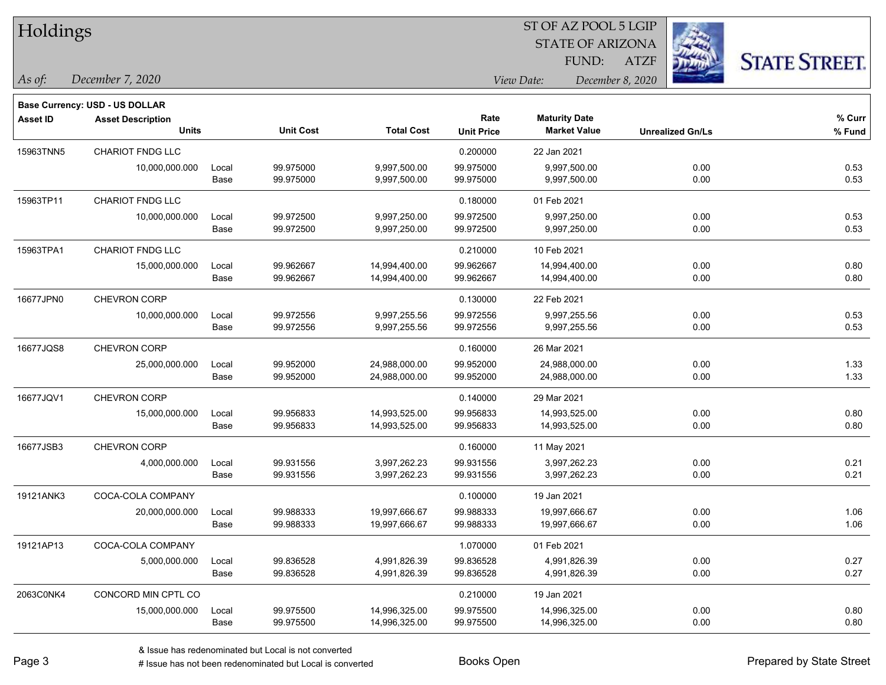| Holdings        |                                |       |                  |                   | ST OF AZ POOL 5 LGIP |                         |                         |                      |  |  |  |
|-----------------|--------------------------------|-------|------------------|-------------------|----------------------|-------------------------|-------------------------|----------------------|--|--|--|
|                 |                                |       |                  |                   |                      | <b>STATE OF ARIZONA</b> |                         |                      |  |  |  |
|                 |                                |       |                  |                   |                      | FUND:                   | <b>ATZF</b>             | <b>STATE STREET.</b> |  |  |  |
| As of:          | December 7, 2020               |       |                  |                   |                      | View Date:              | December 8, 2020        |                      |  |  |  |
|                 | Base Currency: USD - US DOLLAR |       |                  |                   |                      |                         |                         |                      |  |  |  |
| <b>Asset ID</b> | <b>Asset Description</b>       |       |                  |                   | Rate                 | <b>Maturity Date</b>    |                         | % Curr               |  |  |  |
|                 | <b>Units</b>                   |       | <b>Unit Cost</b> | <b>Total Cost</b> | <b>Unit Price</b>    | <b>Market Value</b>     | <b>Unrealized Gn/Ls</b> | % Fund               |  |  |  |
| 15963TNN5       | <b>CHARIOT FNDG LLC</b>        |       |                  |                   | 0.200000             | 22 Jan 2021             |                         |                      |  |  |  |
|                 | 10,000,000.000                 | Local | 99.975000        | 9,997,500.00      | 99.975000            | 9,997,500.00            | 0.00                    | 0.53                 |  |  |  |
|                 |                                | Base  | 99.975000        | 9,997,500.00      | 99.975000            | 9,997,500.00            | 0.00                    | 0.53                 |  |  |  |
| 15963TP11       | CHARIOT FNDG LLC               |       |                  |                   | 0.180000             | 01 Feb 2021             |                         |                      |  |  |  |
|                 | 10,000,000.000                 | Local | 99.972500        | 9,997,250.00      | 99.972500            | 9,997,250.00            | 0.00                    | 0.53                 |  |  |  |
|                 |                                | Base  | 99.972500        | 9,997,250.00      | 99.972500            | 9,997,250.00            | 0.00                    | 0.53                 |  |  |  |
| 15963TPA1       | <b>CHARIOT FNDG LLC</b>        |       |                  |                   | 0.210000             | 10 Feb 2021             |                         |                      |  |  |  |
|                 | 15,000,000.000                 | Local | 99.962667        | 14,994,400.00     | 99.962667            | 14,994,400.00           | 0.00                    | 0.80                 |  |  |  |
|                 |                                | Base  | 99.962667        | 14,994,400.00     | 99.962667            | 14,994,400.00           | 0.00                    | 0.80                 |  |  |  |
| 16677JPN0       | CHEVRON CORP                   |       |                  |                   | 0.130000             | 22 Feb 2021             |                         |                      |  |  |  |
|                 | 10,000,000.000                 | Local | 99.972556        | 9,997,255.56      | 99.972556            | 9,997,255.56            | 0.00                    | 0.53                 |  |  |  |
|                 |                                | Base  | 99.972556        | 9,997,255.56      | 99.972556            | 9,997,255.56            | 0.00                    | 0.53                 |  |  |  |
| 16677JQS8       | CHEVRON CORP                   |       |                  |                   | 0.160000             | 26 Mar 2021             |                         |                      |  |  |  |
|                 | 25,000,000.000                 | Local | 99.952000        | 24,988,000.00     | 99.952000            | 24,988,000.00           | 0.00                    | 1.33                 |  |  |  |
|                 |                                | Base  | 99.952000        | 24,988,000.00     | 99.952000            | 24,988,000.00           | 0.00                    | 1.33                 |  |  |  |
| 16677JQV1       | CHEVRON CORP                   |       |                  |                   | 0.140000             | 29 Mar 2021             |                         |                      |  |  |  |
|                 | 15,000,000.000                 | Local | 99.956833        | 14,993,525.00     | 99.956833            | 14,993,525.00           | 0.00                    | 0.80                 |  |  |  |
|                 |                                | Base  | 99.956833        | 14,993,525.00     | 99.956833            | 14,993,525.00           | 0.00                    | 0.80                 |  |  |  |
| 16677JSB3       | CHEVRON CORP                   |       |                  |                   | 0.160000             | 11 May 2021             |                         |                      |  |  |  |
|                 | 4,000,000.000                  | Local | 99.931556        | 3,997,262.23      | 99.931556            | 3,997,262.23            | 0.00                    | 0.21                 |  |  |  |
|                 |                                | Base  | 99.931556        | 3,997,262.23      | 99.931556            | 3,997,262.23            | 0.00                    | 0.21                 |  |  |  |
| 19121ANK3       | COCA-COLA COMPANY              |       |                  |                   | 0.100000             | 19 Jan 2021             |                         |                      |  |  |  |
|                 | 20,000,000.000                 | Local | 99.988333        | 19,997,666.67     | 99.988333            | 19,997,666.67           | 0.00                    | 1.06                 |  |  |  |
|                 |                                | Base  | 99.988333        | 19,997,666.67     | 99.988333            | 19,997,666.67           | 0.00                    | 1.06                 |  |  |  |
| 19121AP13       | COCA-COLA COMPANY              |       |                  |                   | 1.070000             | 01 Feb 2021             |                         |                      |  |  |  |
|                 | 5,000,000.000                  | Local | 99.836528        | 4,991,826.39      | 99.836528            | 4,991,826.39            | 0.00                    | 0.27                 |  |  |  |
|                 |                                | Base  | 99.836528        | 4,991,826.39      | 99.836528            | 4,991,826.39            | 0.00                    | 0.27                 |  |  |  |
| 2063C0NK4       | CONCORD MIN CPTL CO            |       |                  |                   | 0.210000             | 19 Jan 2021             |                         |                      |  |  |  |
|                 | 15,000,000.000                 | Local | 99.975500        | 14,996,325.00     | 99.975500            | 14,996,325.00           | 0.00                    | 0.80                 |  |  |  |
|                 |                                | Base  | 99.975500        | 14,996,325.00     | 99.975500            | 14,996,325.00           | 0.00                    | 0.80                 |  |  |  |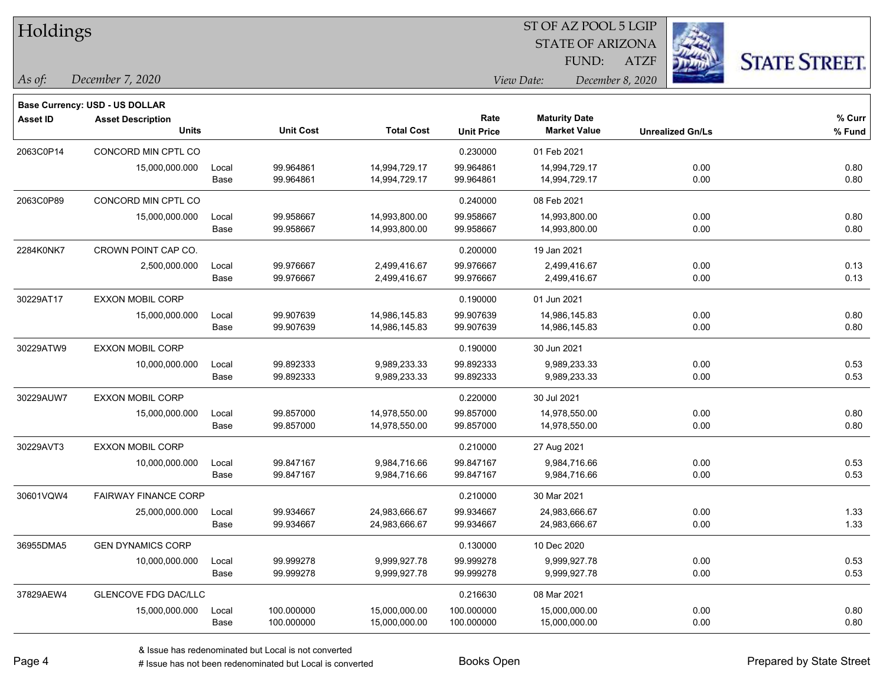| Holdings        |                                       |       |                  |                   |                   | ST OF AZ POOL 5 LGIP    |                  |                         |                      |  |
|-----------------|---------------------------------------|-------|------------------|-------------------|-------------------|-------------------------|------------------|-------------------------|----------------------|--|
|                 |                                       |       |                  |                   |                   | <b>STATE OF ARIZONA</b> |                  |                         |                      |  |
|                 |                                       |       |                  |                   |                   | <b>FUND:</b>            | <b>ATZF</b>      |                         | <b>STATE STREET.</b> |  |
| As of:          | December 7, 2020                      |       |                  |                   |                   | View Date:              | December 8, 2020 |                         |                      |  |
|                 | <b>Base Currency: USD - US DOLLAR</b> |       |                  |                   |                   |                         |                  |                         |                      |  |
| <b>Asset ID</b> | <b>Asset Description</b>              |       |                  |                   | Rate              | <b>Maturity Date</b>    |                  |                         | % Curr               |  |
|                 | <b>Units</b>                          |       | <b>Unit Cost</b> | <b>Total Cost</b> | <b>Unit Price</b> | <b>Market Value</b>     |                  | <b>Unrealized Gn/Ls</b> | % Fund               |  |
| 2063C0P14       | CONCORD MIN CPTL CO                   |       |                  |                   | 0.230000          | 01 Feb 2021             |                  |                         |                      |  |
|                 | 15,000,000.000                        | Local | 99.964861        | 14,994,729.17     | 99.964861         | 14,994,729.17           |                  | 0.00                    | 0.80                 |  |
|                 |                                       | Base  | 99.964861        | 14,994,729.17     | 99.964861         | 14,994,729.17           |                  | 0.00                    | 0.80                 |  |
| 2063C0P89       | CONCORD MIN CPTL CO                   |       |                  |                   | 0.240000          | 08 Feb 2021             |                  |                         |                      |  |
|                 | 15,000,000.000                        | Local | 99.958667        | 14,993,800.00     | 99.958667         | 14,993,800.00           |                  | 0.00                    | 0.80                 |  |
|                 |                                       | Base  | 99.958667        | 14,993,800.00     | 99.958667         | 14,993,800.00           |                  | 0.00                    | 0.80                 |  |
| 2284K0NK7       | CROWN POINT CAP CO.                   |       |                  |                   | 0.200000          | 19 Jan 2021             |                  |                         |                      |  |
|                 | 2,500,000.000                         | Local | 99.976667        | 2,499,416.67      | 99.976667         | 2,499,416.67            |                  | 0.00                    | 0.13                 |  |
|                 |                                       | Base  | 99.976667        | 2,499,416.67      | 99.976667         | 2,499,416.67            |                  | 0.00                    | 0.13                 |  |
| 30229AT17       | EXXON MOBIL CORP                      |       |                  |                   | 0.190000          | 01 Jun 2021             |                  |                         |                      |  |
|                 | 15,000,000.000                        | Local | 99.907639        | 14,986,145.83     | 99.907639         | 14,986,145.83           |                  | 0.00                    | 0.80                 |  |
|                 |                                       | Base  | 99.907639        | 14,986,145.83     | 99.907639         | 14,986,145.83           |                  | 0.00                    | 0.80                 |  |
| 30229ATW9       | EXXON MOBIL CORP                      |       |                  |                   | 0.190000          | 30 Jun 2021             |                  |                         |                      |  |
|                 | 10,000,000.000                        | Local | 99.892333        | 9,989,233.33      | 99.892333         | 9,989,233.33            |                  | 0.00                    | 0.53                 |  |
|                 |                                       | Base  | 99.892333        | 9,989,233.33      | 99.892333         | 9,989,233.33            |                  | 0.00                    | 0.53                 |  |
| 30229AUW7       | <b>EXXON MOBIL CORP</b>               |       |                  |                   | 0.220000          | 30 Jul 2021             |                  |                         |                      |  |
|                 | 15,000,000.000                        | Local | 99.857000        | 14,978,550.00     | 99.857000         | 14,978,550.00           |                  | 0.00                    | 0.80                 |  |
|                 |                                       | Base  | 99.857000        | 14,978,550.00     | 99.857000         | 14,978,550.00           |                  | 0.00                    | 0.80                 |  |
| 30229AVT3       | EXXON MOBIL CORP                      |       |                  |                   | 0.210000          | 27 Aug 2021             |                  |                         |                      |  |
|                 | 10,000,000.000                        | Local | 99.847167        | 9,984,716.66      | 99.847167         | 9,984,716.66            |                  | 0.00                    | 0.53                 |  |
|                 |                                       | Base  | 99.847167        | 9,984,716.66      | 99.847167         | 9,984,716.66            |                  | 0.00                    | 0.53                 |  |
| 30601VQW4       | <b>FAIRWAY FINANCE CORP</b>           |       |                  |                   | 0.210000          | 30 Mar 2021             |                  |                         |                      |  |
|                 | 25,000,000.000                        | Local | 99.934667        | 24,983,666.67     | 99.934667         | 24,983,666.67           |                  | 0.00                    | 1.33                 |  |
|                 |                                       | Base  | 99.934667        | 24,983,666.67     | 99.934667         | 24,983,666.67           |                  | 0.00                    | 1.33                 |  |
| 36955DMA5       | <b>GEN DYNAMICS CORP</b>              |       |                  |                   | 0.130000          | 10 Dec 2020             |                  |                         |                      |  |
|                 | 10,000,000.000                        | Local | 99.999278        | 9,999,927.78      | 99.999278         | 9,999,927.78            |                  | 0.00                    | 0.53                 |  |
|                 |                                       | Base  | 99.999278        | 9,999,927.78      | 99.999278         | 9,999,927.78            |                  | 0.00                    | 0.53                 |  |
| 37829AEW4       | <b>GLENCOVE FDG DAC/LLC</b>           |       |                  |                   | 0.216630          | 08 Mar 2021             |                  |                         |                      |  |
|                 | 15,000,000.000                        | Local | 100.000000       | 15,000,000.00     | 100.000000        | 15,000,000.00           |                  | 0.00                    | 0.80                 |  |
|                 |                                       | Base  | 100.000000       | 15,000,000.00     | 100.000000        | 15,000,000.00           |                  | 0.00                    | 0.80                 |  |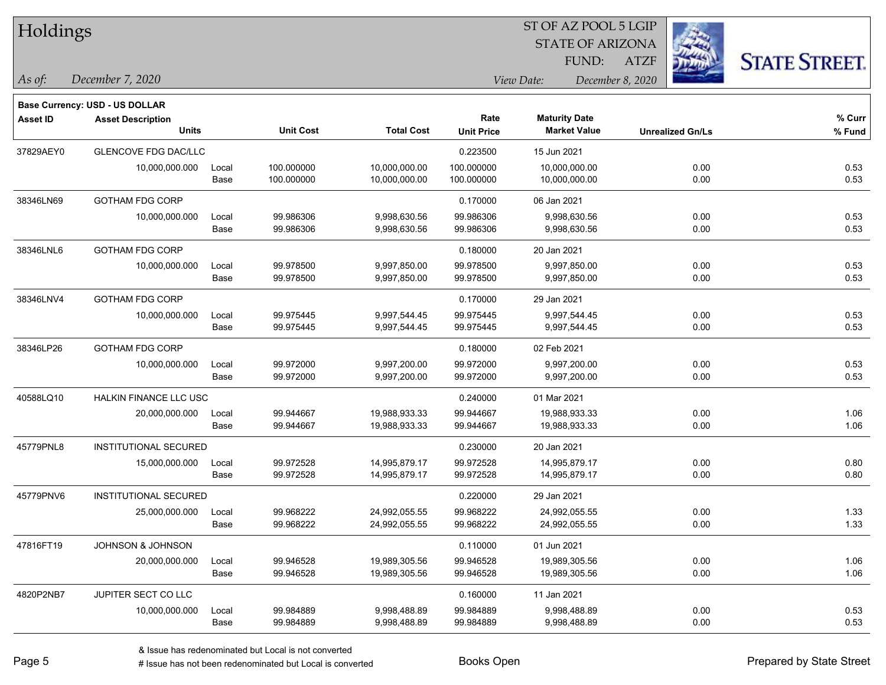| Holdings        |                                |       |                  |                   |                   |                         |                         |                      |
|-----------------|--------------------------------|-------|------------------|-------------------|-------------------|-------------------------|-------------------------|----------------------|
|                 |                                |       |                  |                   |                   | <b>STATE OF ARIZONA</b> |                         |                      |
|                 |                                |       |                  |                   |                   | FUND:                   | <b>ATZF</b>             | <b>STATE STREET.</b> |
| As of:          | December 7, 2020               |       |                  |                   |                   | View Date:              | December 8, 2020        |                      |
|                 | Base Currency: USD - US DOLLAR |       |                  |                   |                   |                         |                         |                      |
| <b>Asset ID</b> | <b>Asset Description</b>       |       |                  |                   | Rate              | <b>Maturity Date</b>    |                         | % Curr               |
|                 | <b>Units</b>                   |       | <b>Unit Cost</b> | <b>Total Cost</b> | <b>Unit Price</b> | <b>Market Value</b>     | <b>Unrealized Gn/Ls</b> | % Fund               |
| 37829AEY0       | <b>GLENCOVE FDG DAC/LLC</b>    |       |                  |                   | 0.223500          | 15 Jun 2021             |                         |                      |
|                 | 10,000,000.000                 | Local | 100.000000       | 10,000,000.00     | 100.000000        | 10,000,000.00           | 0.00                    | 0.53                 |
|                 |                                | Base  | 100.000000       | 10,000,000.00     | 100.000000        | 10,000,000.00           | 0.00                    | 0.53                 |
| 38346LN69       | <b>GOTHAM FDG CORP</b>         |       |                  |                   | 0.170000          | 06 Jan 2021             |                         |                      |
|                 | 10,000,000.000                 | Local | 99.986306        | 9,998,630.56      | 99.986306         | 9,998,630.56            | 0.00                    | 0.53                 |
|                 |                                | Base  | 99.986306        | 9,998,630.56      | 99.986306         | 9,998,630.56            | 0.00                    | 0.53                 |
| 38346LNL6       | <b>GOTHAM FDG CORP</b>         |       |                  |                   | 0.180000          | 20 Jan 2021             |                         |                      |
|                 | 10,000,000.000                 | Local | 99.978500        | 9,997,850.00      | 99.978500         | 9,997,850.00            | 0.00                    | 0.53                 |
|                 |                                | Base  | 99.978500        | 9,997,850.00      | 99.978500         | 9,997,850.00            | 0.00                    | 0.53                 |
| 38346LNV4       | <b>GOTHAM FDG CORP</b>         |       |                  |                   | 0.170000          | 29 Jan 2021             |                         |                      |
|                 | 10,000,000.000                 | Local | 99.975445        | 9,997,544.45      | 99.975445         | 9,997,544.45            | 0.00                    | 0.53                 |
|                 |                                | Base  | 99.975445        | 9,997,544.45      | 99.975445         | 9,997,544.45            | 0.00                    | 0.53                 |
| 38346LP26       | GOTHAM FDG CORP                |       |                  |                   | 0.180000          | 02 Feb 2021             |                         |                      |
|                 | 10,000,000.000                 | Local | 99.972000        | 9,997,200.00      | 99.972000         | 9,997,200.00            | 0.00                    | 0.53                 |
|                 |                                | Base  | 99.972000        | 9,997,200.00      | 99.972000         | 9,997,200.00            | 0.00                    | 0.53                 |
| 40588LQ10       | HALKIN FINANCE LLC USC         |       |                  |                   | 0.240000          | 01 Mar 2021             |                         |                      |
|                 | 20,000,000.000                 | Local | 99.944667        | 19,988,933.33     | 99.944667         | 19,988,933.33           | 0.00                    | 1.06                 |
|                 |                                | Base  | 99.944667        | 19,988,933.33     | 99.944667         | 19,988,933.33           | 0.00                    | 1.06                 |
| 45779PNL8       | <b>INSTITUTIONAL SECURED</b>   |       |                  |                   | 0.230000          | 20 Jan 2021             |                         |                      |
|                 | 15,000,000.000                 | Local | 99.972528        | 14,995,879.17     | 99.972528         | 14,995,879.17           | 0.00                    | 0.80                 |
|                 |                                | Base  | 99.972528        | 14,995,879.17     | 99.972528         | 14,995,879.17           | 0.00                    | 0.80                 |
| 45779PNV6       | <b>INSTITUTIONAL SECURED</b>   |       |                  |                   | 0.220000          | 29 Jan 2021             |                         |                      |
|                 | 25,000,000.000                 | Local | 99.968222        | 24,992,055.55     | 99.968222         | 24,992,055.55           | 0.00                    | 1.33                 |
|                 |                                | Base  | 99.968222        | 24,992,055.55     | 99.968222         | 24,992,055.55           | 0.00                    | 1.33                 |
| 47816FT19       | JOHNSON & JOHNSON              |       |                  |                   | 0.110000          | 01 Jun 2021             |                         |                      |
|                 | 20,000,000.000                 | Local | 99.946528        | 19,989,305.56     | 99.946528         | 19,989,305.56           | 0.00                    | 1.06                 |
|                 |                                | Base  | 99.946528        | 19,989,305.56     | 99.946528         | 19,989,305.56           | 0.00                    | 1.06                 |
| 4820P2NB7       | JUPITER SECT CO LLC            |       |                  |                   | 0.160000          | 11 Jan 2021             |                         |                      |
|                 | 10,000,000.000                 | Local | 99.984889        | 9,998,488.89      | 99.984889         | 9,998,488.89            | 0.00                    | 0.53                 |
|                 |                                | Base  | 99.984889        | 9,998,488.89      | 99.984889         | 9,998,488.89            | 0.00                    | 0.53                 |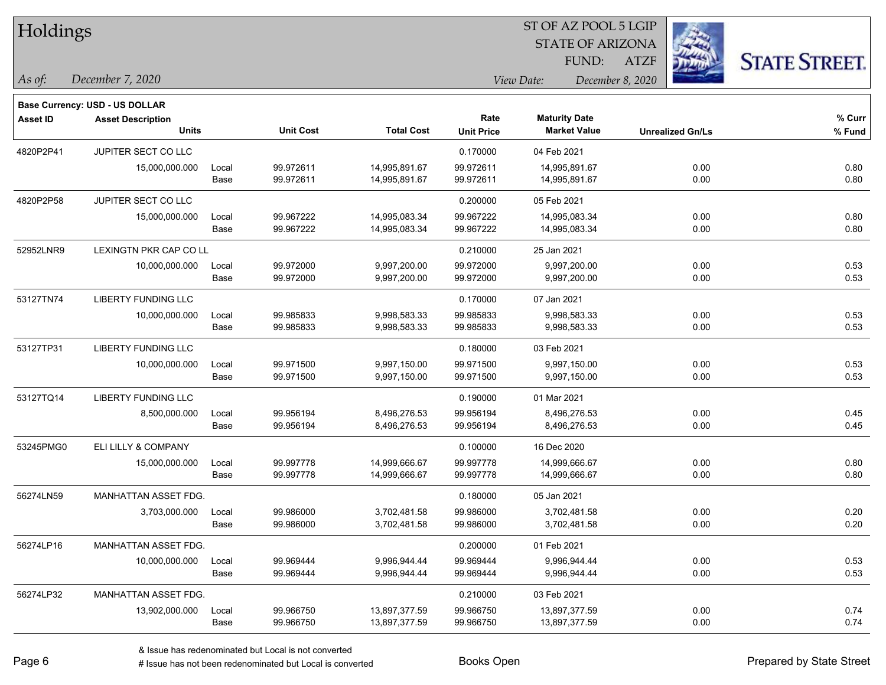| Holdings        |                                                                   |       |                  |                   | ST OF AZ POOL 5 LGIP |                         |                         |                      |  |  |  |  |
|-----------------|-------------------------------------------------------------------|-------|------------------|-------------------|----------------------|-------------------------|-------------------------|----------------------|--|--|--|--|
|                 |                                                                   |       |                  |                   |                      | <b>STATE OF ARIZONA</b> |                         |                      |  |  |  |  |
|                 |                                                                   |       |                  |                   |                      | <b>FUND:</b>            | <b>ATZF</b>             | <b>STATE STREET.</b> |  |  |  |  |
| As of:          | December 7, 2020                                                  |       |                  |                   |                      | View Date:              | December 8, 2020        |                      |  |  |  |  |
|                 |                                                                   |       |                  |                   |                      |                         |                         |                      |  |  |  |  |
| <b>Asset ID</b> | <b>Base Currency: USD - US DOLLAR</b><br><b>Asset Description</b> |       |                  |                   | Rate                 | <b>Maturity Date</b>    |                         | $%$ Curr             |  |  |  |  |
|                 | <b>Units</b>                                                      |       | <b>Unit Cost</b> | <b>Total Cost</b> | <b>Unit Price</b>    | <b>Market Value</b>     | <b>Unrealized Gn/Ls</b> | % Fund               |  |  |  |  |
| 4820P2P41       | JUPITER SECT CO LLC                                               |       |                  |                   | 0.170000             | 04 Feb 2021             |                         |                      |  |  |  |  |
|                 | 15,000,000.000                                                    | Local | 99.972611        | 14,995,891.67     | 99.972611            | 14,995,891.67           | 0.00                    | 0.80                 |  |  |  |  |
|                 |                                                                   | Base  | 99.972611        | 14,995,891.67     | 99.972611            | 14,995,891.67           | 0.00                    | 0.80                 |  |  |  |  |
| 4820P2P58       | JUPITER SECT CO LLC                                               |       |                  |                   | 0.200000             | 05 Feb 2021             |                         |                      |  |  |  |  |
|                 | 15,000,000.000                                                    | Local | 99.967222        | 14,995,083.34     | 99.967222            | 14,995,083.34           | 0.00                    | 0.80                 |  |  |  |  |
|                 |                                                                   | Base  | 99.967222        | 14,995,083.34     | 99.967222            | 14,995,083.34           | 0.00                    | 0.80                 |  |  |  |  |
| 52952LNR9       | LEXINGTN PKR CAP CO LL                                            |       |                  |                   | 0.210000             | 25 Jan 2021             |                         |                      |  |  |  |  |
|                 | 10,000,000.000                                                    | Local | 99.972000        | 9,997,200.00      | 99.972000            | 9,997,200.00            | 0.00                    | 0.53                 |  |  |  |  |
|                 |                                                                   | Base  | 99.972000        | 9,997,200.00      | 99.972000            | 9,997,200.00            | 0.00                    | 0.53                 |  |  |  |  |
| 53127TN74       | LIBERTY FUNDING LLC                                               |       |                  |                   | 0.170000             | 07 Jan 2021             |                         |                      |  |  |  |  |
|                 | 10,000,000.000                                                    | Local | 99.985833        | 9,998,583.33      | 99.985833            | 9,998,583.33            | 0.00                    | 0.53                 |  |  |  |  |
|                 |                                                                   | Base  | 99.985833        | 9,998,583.33      | 99.985833            | 9,998,583.33            | 0.00                    | 0.53                 |  |  |  |  |
| 53127TP31       | <b>LIBERTY FUNDING LLC</b>                                        |       |                  |                   | 0.180000             | 03 Feb 2021             |                         |                      |  |  |  |  |
|                 | 10,000,000.000                                                    | Local | 99.971500        | 9,997,150.00      | 99.971500            | 9,997,150.00            | 0.00                    | 0.53                 |  |  |  |  |
|                 |                                                                   | Base  | 99.971500        | 9,997,150.00      | 99.971500            | 9,997,150.00            | 0.00                    | 0.53                 |  |  |  |  |
| 53127TQ14       | <b>LIBERTY FUNDING LLC</b>                                        |       |                  |                   | 0.190000             | 01 Mar 2021             |                         |                      |  |  |  |  |
|                 | 8,500,000.000                                                     | Local | 99.956194        | 8,496,276.53      | 99.956194            | 8,496,276.53            | 0.00                    | 0.45                 |  |  |  |  |
|                 |                                                                   | Base  | 99.956194        | 8,496,276.53      | 99.956194            | 8,496,276.53            | 0.00                    | 0.45                 |  |  |  |  |
| 53245PMG0       | ELI LILLY & COMPANY                                               |       |                  |                   | 0.100000             | 16 Dec 2020             |                         |                      |  |  |  |  |
|                 | 15,000,000.000                                                    | Local | 99.997778        | 14,999,666.67     | 99.997778            | 14,999,666.67           | 0.00                    | 0.80                 |  |  |  |  |
|                 |                                                                   | Base  | 99.997778        | 14,999,666.67     | 99.997778            | 14,999,666.67           | 0.00                    | 0.80                 |  |  |  |  |
| 56274LN59       | MANHATTAN ASSET FDG.                                              |       |                  |                   | 0.180000             | 05 Jan 2021             |                         |                      |  |  |  |  |
|                 | 3,703,000.000                                                     | Local | 99.986000        | 3,702,481.58      | 99.986000            | 3,702,481.58            | 0.00                    | 0.20                 |  |  |  |  |
|                 |                                                                   | Base  | 99.986000        | 3,702,481.58      | 99.986000            | 3,702,481.58            | 0.00                    | 0.20                 |  |  |  |  |
| 56274LP16       | MANHATTAN ASSET FDG.                                              |       |                  |                   | 0.200000             | 01 Feb 2021             |                         |                      |  |  |  |  |
|                 | 10,000,000.000                                                    | Local | 99.969444        | 9,996,944.44      | 99.969444            | 9,996,944.44            | 0.00                    | 0.53                 |  |  |  |  |
|                 |                                                                   | Base  | 99.969444        | 9,996,944.44      | 99.969444            | 9,996,944.44            | 0.00                    | 0.53                 |  |  |  |  |
| 56274LP32       | MANHATTAN ASSET FDG.                                              |       |                  |                   | 0.210000             | 03 Feb 2021             |                         |                      |  |  |  |  |
|                 | 13,902,000.000                                                    | Local | 99.966750        | 13,897,377.59     | 99.966750            | 13,897,377.59           | 0.00                    | 0.74                 |  |  |  |  |
|                 |                                                                   | Base  | 99.966750        | 13,897,377.59     | 99.966750            | 13,897,377.59           | 0.00                    | 0.74                 |  |  |  |  |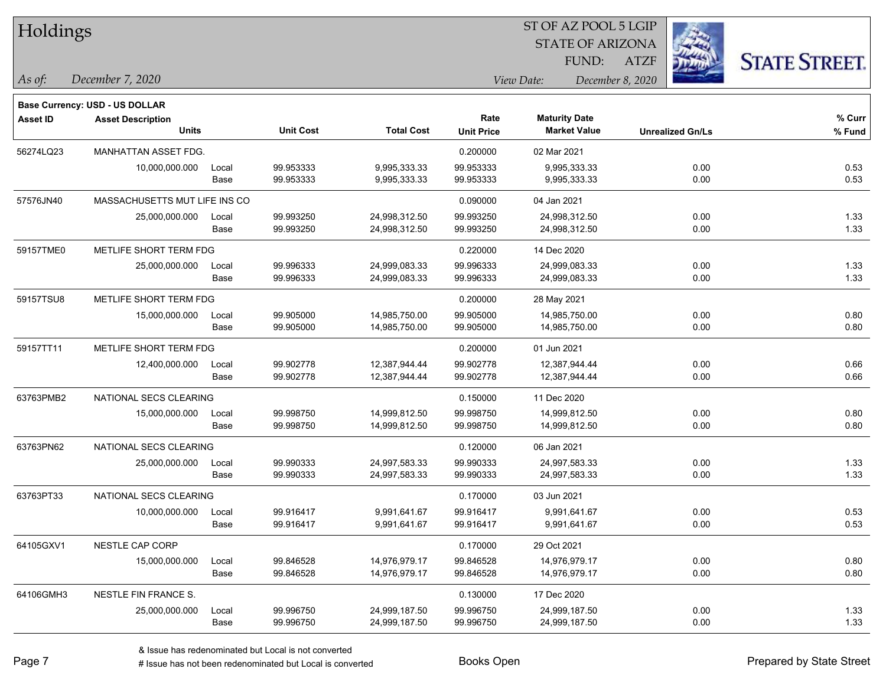| Holdings        |                                       |       |                  |                   | 51 OF AZ POOL 5 LGIP |                                |             |                         |                      |  |
|-----------------|---------------------------------------|-------|------------------|-------------------|----------------------|--------------------------------|-------------|-------------------------|----------------------|--|
|                 |                                       |       |                  |                   |                      | <b>STATE OF ARIZONA</b>        |             |                         |                      |  |
|                 |                                       |       |                  |                   |                      | FUND:                          | <b>ATZF</b> |                         | <b>STATE STREET.</b> |  |
| As of:          | December 7, 2020                      |       |                  |                   |                      | View Date:<br>December 8, 2020 |             |                         |                      |  |
|                 | <b>Base Currency: USD - US DOLLAR</b> |       |                  |                   |                      |                                |             |                         |                      |  |
| <b>Asset ID</b> | <b>Asset Description</b>              |       |                  |                   | Rate                 | <b>Maturity Date</b>           |             |                         | % Curr               |  |
|                 | <b>Units</b>                          |       | <b>Unit Cost</b> | <b>Total Cost</b> | <b>Unit Price</b>    | <b>Market Value</b>            |             | <b>Unrealized Gn/Ls</b> | % Fund               |  |
| 56274LQ23       | <b>MANHATTAN ASSET FDG.</b>           |       |                  |                   | 0.200000             | 02 Mar 2021                    |             |                         |                      |  |
|                 | 10,000,000.000                        | Local | 99.953333        | 9,995,333.33      | 99.953333            | 9,995,333.33                   |             | 0.00                    | 0.53                 |  |
|                 |                                       | Base  | 99.953333        | 9,995,333.33      | 99.953333            | 9,995,333.33                   |             | 0.00                    | 0.53                 |  |
| 57576JN40       | MASSACHUSETTS MUT LIFE INS CO         |       |                  |                   | 0.090000             | 04 Jan 2021                    |             |                         |                      |  |
|                 | 25,000,000.000                        | Local | 99.993250        | 24,998,312.50     | 99.993250            | 24,998,312.50                  |             | 0.00                    | 1.33                 |  |
|                 |                                       | Base  | 99.993250        | 24,998,312.50     | 99.993250            | 24,998,312.50                  |             | 0.00                    | 1.33                 |  |
| 59157TME0       | METLIFE SHORT TERM FDG                |       |                  |                   | 0.220000             | 14 Dec 2020                    |             |                         |                      |  |
|                 | 25,000,000.000                        | Local | 99.996333        | 24,999,083.33     | 99.996333            | 24,999,083.33                  |             | 0.00                    | 1.33                 |  |
|                 |                                       | Base  | 99.996333        | 24,999,083.33     | 99.996333            | 24,999,083.33                  |             | 0.00                    | 1.33                 |  |
| 59157TSU8       | METLIFE SHORT TERM FDG                |       |                  |                   | 0.200000             | 28 May 2021                    |             |                         |                      |  |
|                 | 15,000,000.000                        | Local | 99.905000        | 14,985,750.00     | 99.905000            | 14,985,750.00                  |             | 0.00                    | 0.80                 |  |
|                 |                                       | Base  | 99.905000        | 14,985,750.00     | 99.905000            | 14,985,750.00                  |             | 0.00                    | 0.80                 |  |
| 59157TT11       | METLIFE SHORT TERM FDG                |       |                  |                   | 0.200000             | 01 Jun 2021                    |             |                         |                      |  |
|                 | 12,400,000.000                        | Local | 99.902778        | 12,387,944.44     | 99.902778            | 12,387,944.44                  |             | 0.00                    | 0.66                 |  |
|                 |                                       | Base  | 99.902778        | 12,387,944.44     | 99.902778            | 12,387,944.44                  |             | 0.00                    | 0.66                 |  |
| 63763PMB2       | NATIONAL SECS CLEARING                |       |                  |                   | 0.150000             | 11 Dec 2020                    |             |                         |                      |  |
|                 | 15,000,000.000                        | Local | 99.998750        | 14,999,812.50     | 99.998750            | 14,999,812.50                  |             | 0.00                    | 0.80                 |  |
|                 |                                       | Base  | 99.998750        | 14,999,812.50     | 99.998750            | 14,999,812.50                  |             | 0.00                    | 0.80                 |  |
| 63763PN62       | NATIONAL SECS CLEARING                |       |                  |                   | 0.120000             | 06 Jan 2021                    |             |                         |                      |  |
|                 | 25,000,000.000                        | Local | 99.990333        | 24,997,583.33     | 99.990333            | 24,997,583.33                  |             | 0.00                    | 1.33                 |  |
|                 |                                       | Base  | 99.990333        | 24,997,583.33     | 99.990333            | 24,997,583.33                  |             | 0.00                    | 1.33                 |  |
| 63763PT33       | NATIONAL SECS CLEARING                |       |                  |                   | 0.170000             | 03 Jun 2021                    |             |                         |                      |  |
|                 | 10,000,000.000                        | Local | 99.916417        | 9,991,641.67      | 99.916417            | 9,991,641.67                   |             | 0.00                    | 0.53                 |  |
|                 |                                       | Base  | 99.916417        | 9,991,641.67      | 99.916417            | 9,991,641.67                   |             | 0.00                    | 0.53                 |  |
| 64105GXV1       | NESTLE CAP CORP                       |       |                  |                   | 0.170000             | 29 Oct 2021                    |             |                         |                      |  |
|                 | 15,000,000.000                        | Local | 99.846528        | 14,976,979.17     | 99.846528            | 14,976,979.17                  |             | 0.00                    | 0.80                 |  |
|                 |                                       | Base  | 99.846528        | 14,976,979.17     | 99.846528            | 14,976,979.17                  |             | 0.00                    | 0.80                 |  |
| 64106GMH3       | NESTLE FIN FRANCE S.                  |       |                  |                   | 0.130000             | 17 Dec 2020                    |             |                         |                      |  |
|                 | 25,000,000.000                        | Local | 99.996750        | 24,999,187.50     | 99.996750            | 24,999,187.50                  |             | 0.00                    | 1.33                 |  |
|                 |                                       | Base  | 99.996750        | 24,999,187.50     | 99.996750            | 24,999,187.50                  |             | 0.00                    | 1.33                 |  |
|                 |                                       |       |                  |                   |                      |                                |             |                         |                      |  |

 $\overline{\text{ST A Z DOO}}$   $\overline{\text{SLO}}$ 

٦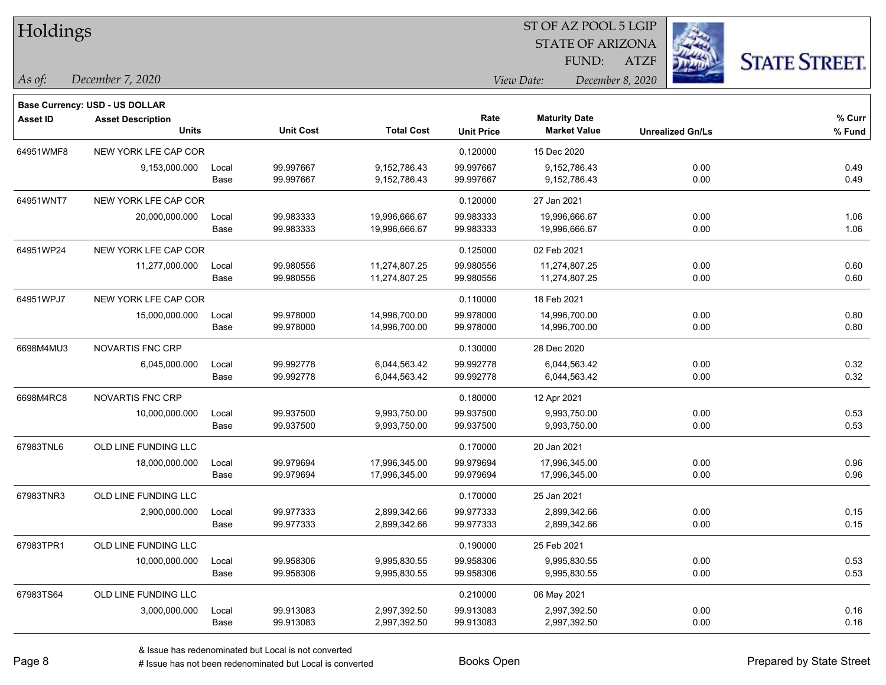|                                       |                          |                                                                                                      |                               |                                   | FUND:                          | <b>ATZF</b>                                       | <b>STATE STREET</b>                                                                                    |  |  |  |
|---------------------------------------|--------------------------|------------------------------------------------------------------------------------------------------|-------------------------------|-----------------------------------|--------------------------------|---------------------------------------------------|--------------------------------------------------------------------------------------------------------|--|--|--|
| December 7, 2020                      |                          |                                                                                                      |                               |                                   |                                |                                                   |                                                                                                        |  |  |  |
| <b>Base Currency: USD - US DOLLAR</b> |                          |                                                                                                      |                               |                                   |                                |                                                   |                                                                                                        |  |  |  |
| <b>Asset Description</b>              |                          |                                                                                                      |                               | Rate                              | <b>Maturity Date</b>           |                                                   | % Curr                                                                                                 |  |  |  |
|                                       |                          |                                                                                                      |                               |                                   |                                |                                                   | % Fund                                                                                                 |  |  |  |
|                                       |                          |                                                                                                      |                               | 0.120000                          | 15 Dec 2020                    |                                                   |                                                                                                        |  |  |  |
| 9,153,000.000                         | Local                    | 99.997667                                                                                            | 9,152,786.43                  | 99.997667                         | 9,152,786.43                   | 0.00                                              | 0.49                                                                                                   |  |  |  |
|                                       |                          |                                                                                                      |                               |                                   |                                |                                                   | 0.49                                                                                                   |  |  |  |
|                                       |                          |                                                                                                      |                               | 0.120000                          | 27 Jan 2021                    |                                                   |                                                                                                        |  |  |  |
| 20,000,000.000                        | Local                    | 99.983333                                                                                            | 19,996,666.67                 | 99.983333                         | 19,996,666.67                  | 0.00                                              | 1.06                                                                                                   |  |  |  |
|                                       | Base                     | 99.983333                                                                                            | 19,996,666.67                 | 99.983333                         | 19,996,666.67                  | 0.00                                              | 1.06                                                                                                   |  |  |  |
|                                       |                          |                                                                                                      |                               | 0.125000                          | 02 Feb 2021                    |                                                   |                                                                                                        |  |  |  |
| 11,277,000.000                        | Local                    | 99.980556                                                                                            | 11,274,807.25                 | 99.980556                         | 11,274,807.25                  | 0.00                                              | 0.60                                                                                                   |  |  |  |
|                                       | Base                     | 99.980556                                                                                            | 11,274,807.25                 | 99.980556                         | 11,274,807.25                  | 0.00                                              | 0.60                                                                                                   |  |  |  |
|                                       |                          |                                                                                                      |                               | 0.110000                          | 18 Feb 2021                    |                                                   |                                                                                                        |  |  |  |
| 15,000,000.000                        | Local                    | 99.978000                                                                                            | 14,996,700.00                 | 99.978000                         | 14,996,700.00                  | 0.00                                              | 0.80                                                                                                   |  |  |  |
|                                       | Base                     | 99.978000                                                                                            | 14,996,700.00                 | 99.978000                         | 14,996,700.00                  | 0.00                                              | 0.80                                                                                                   |  |  |  |
| <b>NOVARTIS FNC CRP</b>               |                          |                                                                                                      |                               | 0.130000                          | 28 Dec 2020                    |                                                   |                                                                                                        |  |  |  |
| 6,045,000.000                         | Local                    | 99.992778                                                                                            | 6,044,563.42                  | 99.992778                         | 6,044,563.42                   | 0.00                                              | 0.32                                                                                                   |  |  |  |
|                                       | Base                     | 99.992778                                                                                            | 6,044,563.42                  | 99.992778                         | 6,044,563.42                   | 0.00                                              | 0.32                                                                                                   |  |  |  |
| NOVARTIS FNC CRP                      |                          |                                                                                                      |                               | 0.180000                          | 12 Apr 2021                    |                                                   |                                                                                                        |  |  |  |
| 10,000,000.000                        | Local                    | 99.937500                                                                                            | 9,993,750.00                  | 99.937500                         | 9,993,750.00                   | 0.00                                              | 0.53                                                                                                   |  |  |  |
|                                       | Base                     | 99.937500                                                                                            | 9,993,750.00                  | 99.937500                         | 9,993,750.00                   | 0.00                                              | 0.53                                                                                                   |  |  |  |
| OLD LINE FUNDING LLC                  |                          |                                                                                                      |                               | 0.170000                          | 20 Jan 2021                    |                                                   |                                                                                                        |  |  |  |
| 18,000,000.000                        | Local                    | 99.979694                                                                                            | 17,996,345.00                 | 99.979694                         | 17,996,345.00                  | 0.00                                              | 0.96                                                                                                   |  |  |  |
|                                       | Base                     | 99.979694                                                                                            | 17,996,345.00                 | 99.979694                         | 17,996,345.00                  | 0.00                                              | 0.96                                                                                                   |  |  |  |
| OLD LINE FUNDING LLC                  |                          |                                                                                                      |                               | 0.170000                          | 25 Jan 2021                    |                                                   |                                                                                                        |  |  |  |
| 2,900,000.000                         | Local                    | 99.977333                                                                                            | 2,899,342.66                  | 99.977333                         | 2,899,342.66                   | 0.00                                              | 0.15                                                                                                   |  |  |  |
|                                       | Base                     | 99.977333                                                                                            | 2,899,342.66                  | 99.977333                         | 2,899,342.66                   | 0.00                                              | 0.15                                                                                                   |  |  |  |
| OLD LINE FUNDING LLC                  |                          |                                                                                                      |                               | 0.190000                          | 25 Feb 2021                    |                                                   |                                                                                                        |  |  |  |
| 10,000,000.000                        | Local                    | 99.958306                                                                                            | 9,995,830.55                  | 99.958306                         | 9.995.830.55                   | 0.00                                              | 0.53                                                                                                   |  |  |  |
|                                       | Base                     | 99.958306                                                                                            | 9,995,830.55                  | 99.958306                         | 9,995,830.55                   | 0.00                                              | 0.53                                                                                                   |  |  |  |
| OLD LINE FUNDING LLC                  |                          |                                                                                                      |                               | 0.210000                          | 06 May 2021                    |                                                   |                                                                                                        |  |  |  |
| 3,000,000.000                         | Local                    | 99.913083                                                                                            | 2,997,392.50                  | 99.913083                         | 2,997,392.50                   | 0.00                                              | 0.16                                                                                                   |  |  |  |
|                                       | Base                     | 99.913083                                                                                            | 2,997,392.50                  | 99.913083                         | 2,997,392.50                   | 0.00                                              | 0.16                                                                                                   |  |  |  |
|                                       | Holdings<br><b>Units</b> | NEW YORK LFE CAP COR<br>Base<br>NEW YORK LFE CAP COR<br>NEW YORK LFE CAP COR<br>NEW YORK LFE CAP COR | <b>Unit Cost</b><br>99.997667 | <b>Total Cost</b><br>9,152,786.43 | <b>Unit Price</b><br>99.997667 | View Date:<br><b>Market Value</b><br>9,152,786.43 | 51 OF AZ POOL 5 LGIP<br><b>STATE OF ARIZONA</b><br>December 8, 2020<br><b>Unrealized Gn/Ls</b><br>0.00 |  |  |  |

 $ST$  OF AZ POOL 5 LGIP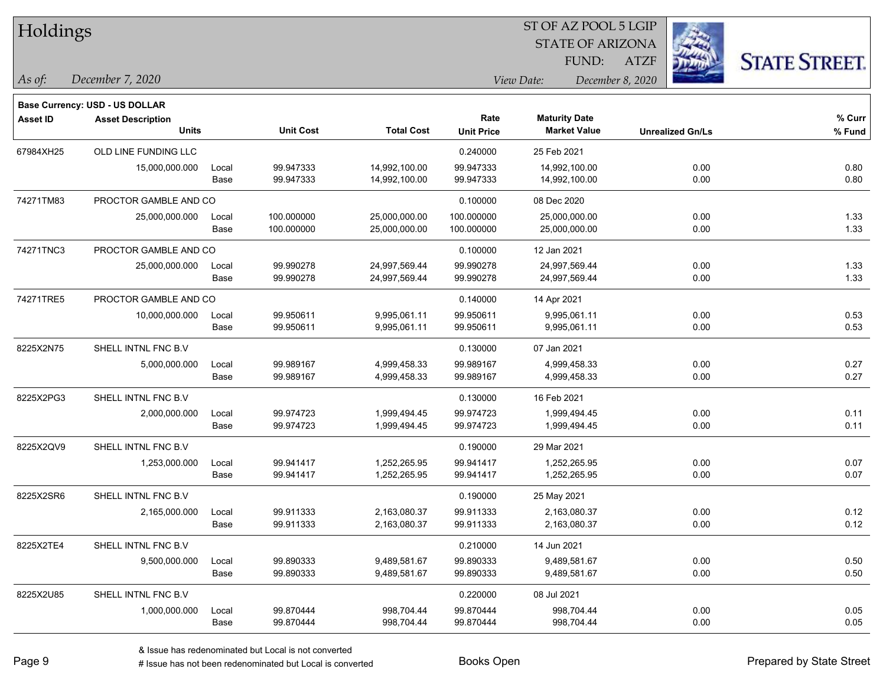| Holdings        |                                          |       |                  |                   |                   | ST OF AZ POOL 5 LGIP    |                  |                         |                      |
|-----------------|------------------------------------------|-------|------------------|-------------------|-------------------|-------------------------|------------------|-------------------------|----------------------|
|                 |                                          |       |                  |                   |                   | <b>STATE OF ARIZONA</b> |                  |                         |                      |
|                 |                                          |       |                  |                   |                   | <b>FUND:</b>            | <b>ATZF</b>      |                         | <b>STATE STREET.</b> |
| $\vert$ As of:  | December 7, 2020                         |       |                  |                   |                   | View Date:              | December 8, 2020 |                         |                      |
|                 |                                          |       |                  |                   |                   |                         |                  |                         |                      |
|                 | Base Currency: USD - US DOLLAR           |       |                  |                   | Rate              | <b>Maturity Date</b>    |                  |                         | % Curr               |
| <b>Asset ID</b> | <b>Asset Description</b><br><b>Units</b> |       | <b>Unit Cost</b> | <b>Total Cost</b> | <b>Unit Price</b> | <b>Market Value</b>     |                  | <b>Unrealized Gn/Ls</b> | % Fund               |
| 67984XH25       | OLD LINE FUNDING LLC                     |       |                  |                   | 0.240000          | 25 Feb 2021             |                  |                         |                      |
|                 | 15,000,000.000                           | Local | 99.947333        | 14,992,100.00     | 99.947333         | 14,992,100.00           |                  | 0.00                    | 0.80                 |
|                 |                                          | Base  | 99.947333        | 14,992,100.00     | 99.947333         | 14,992,100.00           |                  | 0.00                    | 0.80                 |
| 74271TM83       | PROCTOR GAMBLE AND CO                    |       |                  |                   | 0.100000          | 08 Dec 2020             |                  |                         |                      |
|                 | 25,000,000.000                           | Local | 100.000000       | 25,000,000.00     | 100.000000        | 25,000,000.00           |                  | 0.00                    | 1.33                 |
|                 |                                          | Base  | 100.000000       | 25,000,000.00     | 100.000000        | 25,000,000.00           |                  | 0.00                    | 1.33                 |
| 74271TNC3       | PROCTOR GAMBLE AND CO                    |       |                  |                   | 0.100000          | 12 Jan 2021             |                  |                         |                      |
|                 | 25,000,000.000                           | Local | 99.990278        | 24,997,569.44     | 99.990278         | 24,997,569.44           |                  | 0.00                    | 1.33                 |
|                 |                                          | Base  | 99.990278        | 24,997,569.44     | 99.990278         | 24,997,569.44           |                  | 0.00                    | 1.33                 |
| 74271TRE5       | PROCTOR GAMBLE AND CO                    |       |                  |                   | 0.140000          | 14 Apr 2021             |                  |                         |                      |
|                 | 10,000,000.000                           | Local | 99.950611        | 9,995,061.11      | 99.950611         | 9,995,061.11            |                  | 0.00                    | 0.53                 |
|                 |                                          | Base  | 99.950611        | 9,995,061.11      | 99.950611         | 9,995,061.11            |                  | 0.00                    | 0.53                 |
| 8225X2N75       | SHELL INTNL FNC B.V                      |       |                  |                   | 0.130000          | 07 Jan 2021             |                  |                         |                      |
|                 | 5,000,000.000                            | Local | 99.989167        | 4,999,458.33      | 99.989167         | 4,999,458.33            |                  | 0.00                    | 0.27                 |
|                 |                                          | Base  | 99.989167        | 4,999,458.33      | 99.989167         | 4,999,458.33            |                  | 0.00                    | 0.27                 |
| 8225X2PG3       | SHELL INTNL FNC B.V                      |       |                  |                   | 0.130000          | 16 Feb 2021             |                  |                         |                      |
|                 | 2,000,000.000                            | Local | 99.974723        | 1,999,494.45      | 99.974723         | 1,999,494.45            |                  | 0.00                    | 0.11                 |
|                 |                                          | Base  | 99.974723        | 1,999,494.45      | 99.974723         | 1,999,494.45            |                  | 0.00                    | 0.11                 |
| 8225X2QV9       | SHELL INTNL FNC B.V                      |       |                  |                   | 0.190000          | 29 Mar 2021             |                  |                         |                      |
|                 | 1,253,000.000                            | Local | 99.941417        | 1,252,265.95      | 99.941417         | 1,252,265.95            |                  | 0.00                    | 0.07                 |
|                 |                                          | Base  | 99.941417        | 1,252,265.95      | 99.941417         | 1,252,265.95            |                  | 0.00                    | 0.07                 |
| 8225X2SR6       | SHELL INTNL FNC B.V                      |       |                  |                   | 0.190000          | 25 May 2021             |                  |                         |                      |
|                 | 2,165,000.000                            | Local | 99.911333        | 2,163,080.37      | 99.911333         | 2,163,080.37            |                  | 0.00                    | 0.12                 |
|                 |                                          | Base  | 99.911333        | 2,163,080.37      | 99.911333         | 2,163,080.37            |                  | 0.00                    | 0.12                 |
| 8225X2TE4       | SHELL INTNL FNC B.V                      |       |                  |                   | 0.210000          | 14 Jun 2021             |                  |                         |                      |
|                 | 9,500,000.000                            | Local | 99.890333        | 9,489,581.67      | 99.890333         | 9,489,581.67            |                  | 0.00                    | 0.50                 |
|                 |                                          | Base  | 99.890333        | 9,489,581.67      | 99.890333         | 9,489,581.67            |                  | 0.00                    | 0.50                 |
| 8225X2U85       | SHELL INTNL FNC B.V                      |       |                  |                   | 0.220000          | 08 Jul 2021             |                  |                         |                      |
|                 | 1,000,000.000                            | Local | 99.870444        | 998,704.44        | 99.870444         | 998,704.44              |                  | 0.00                    | 0.05                 |
|                 |                                          | Base  | 99.870444        | 998,704.44        | 99.870444         | 998,704.44              |                  | 0.00                    | 0.05                 |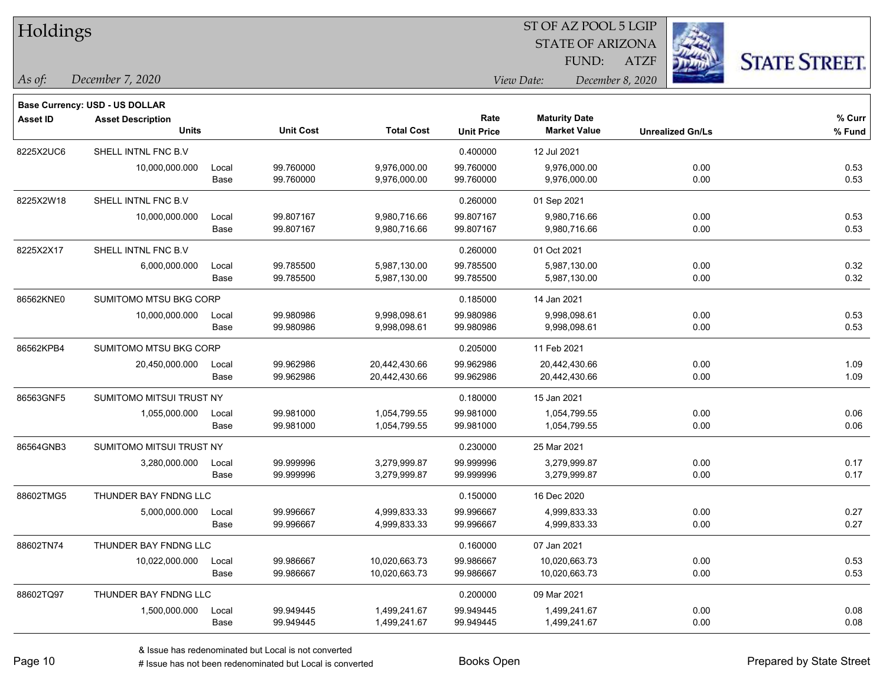| Holdings        |                                          |               |                        |                                |                           | ST OF AZ POOL 5 LGIP                        |                  |                         |                      |  |
|-----------------|------------------------------------------|---------------|------------------------|--------------------------------|---------------------------|---------------------------------------------|------------------|-------------------------|----------------------|--|
|                 |                                          |               |                        |                                |                           | <b>STATE OF ARIZONA</b>                     |                  |                         |                      |  |
|                 |                                          |               |                        |                                |                           | FUND:                                       | <b>ATZF</b>      |                         | <b>STATE STREET.</b> |  |
| As of:          | December 7, 2020                         |               |                        |                                |                           | View Date:                                  | December 8, 2020 |                         |                      |  |
|                 | <b>Base Currency: USD - US DOLLAR</b>    |               |                        |                                |                           |                                             |                  |                         |                      |  |
| <b>Asset ID</b> | <b>Asset Description</b><br><b>Units</b> |               | <b>Unit Cost</b>       | <b>Total Cost</b>              | Rate<br><b>Unit Price</b> | <b>Maturity Date</b><br><b>Market Value</b> |                  | <b>Unrealized Gn/Ls</b> | % Curr<br>$%$ Fund   |  |
| 8225X2UC6       | SHELL INTNL FNC B.V                      |               |                        |                                | 0.400000                  | 12 Jul 2021                                 |                  |                         |                      |  |
|                 | 10,000,000.000                           | Local<br>Base | 99.760000<br>99.760000 | 9,976,000.00<br>9,976,000.00   | 99.760000<br>99.760000    | 9,976,000.00<br>9,976,000.00                |                  | 0.00<br>0.00            | 0.53<br>0.53         |  |
| 8225X2W18       | SHELL INTNL FNC B.V                      |               |                        |                                | 0.260000                  | 01 Sep 2021                                 |                  |                         |                      |  |
|                 | 10,000,000.000                           | Local<br>Base | 99.807167<br>99.807167 | 9,980,716.66<br>9,980,716.66   | 99.807167<br>99.807167    | 9,980,716.66<br>9,980,716.66                |                  | 0.00<br>0.00            | 0.53<br>0.53         |  |
| 8225X2X17       | SHELL INTNL FNC B.V                      |               |                        |                                | 0.260000                  | 01 Oct 2021                                 |                  |                         |                      |  |
|                 | 6,000,000.000                            | Local<br>Base | 99.785500<br>99.785500 | 5,987,130.00<br>5,987,130.00   | 99.785500<br>99.785500    | 5,987,130.00<br>5,987,130.00                |                  | 0.00<br>0.00            | 0.32<br>0.32         |  |
| 86562KNE0       | SUMITOMO MTSU BKG CORP                   |               |                        |                                | 0.185000                  | 14 Jan 2021                                 |                  |                         |                      |  |
|                 | 10,000,000.000                           | Local<br>Base | 99.980986<br>99.980986 | 9,998,098.61<br>9,998,098.61   | 99.980986<br>99.980986    | 9,998,098.61<br>9,998,098.61                |                  | 0.00<br>0.00            | 0.53<br>0.53         |  |
| 86562KPB4       | SUMITOMO MTSU BKG CORP                   |               |                        |                                | 0.205000                  | 11 Feb 2021                                 |                  |                         |                      |  |
|                 | 20,450,000.000                           | Local<br>Base | 99.962986<br>99.962986 | 20,442,430.66<br>20,442,430.66 | 99.962986<br>99.962986    | 20,442,430.66<br>20,442,430.66              |                  | 0.00<br>0.00            | 1.09<br>1.09         |  |
| 86563GNF5       | SUMITOMO MITSUI TRUST NY                 |               |                        |                                | 0.180000                  | 15 Jan 2021                                 |                  |                         |                      |  |
|                 | 1,055,000.000                            | Local<br>Base | 99.981000<br>99.981000 | 1,054,799.55<br>1,054,799.55   | 99.981000<br>99.981000    | 1,054,799.55<br>1,054,799.55                |                  | 0.00<br>0.00            | 0.06<br>0.06         |  |
| 86564GNB3       | SUMITOMO MITSUI TRUST NY                 |               |                        |                                | 0.230000                  | 25 Mar 2021                                 |                  |                         |                      |  |
|                 | 3,280,000.000                            | Local<br>Base | 99.999996<br>99.999996 | 3,279,999.87<br>3,279,999.87   | 99.999996<br>99.999996    | 3,279,999.87<br>3,279,999.87                |                  | 0.00<br>0.00            | 0.17<br>0.17         |  |
| 88602TMG5       | THUNDER BAY FNDNG LLC                    |               |                        |                                | 0.150000                  | 16 Dec 2020                                 |                  |                         |                      |  |
|                 | 5,000,000.000                            | Local<br>Base | 99.996667<br>99.996667 | 4,999,833.33<br>4,999,833.33   | 99.996667<br>99.996667    | 4,999,833.33<br>4,999,833.33                |                  | 0.00<br>0.00            | 0.27<br>0.27         |  |
| 88602TN74       | THUNDER BAY FNDNG LLC                    |               |                        |                                | 0.160000                  | 07 Jan 2021                                 |                  |                         |                      |  |
|                 | 10,022,000.000                           | Local<br>Base | 99.986667<br>99.986667 | 10,020,663.73<br>10,020,663.73 | 99.986667<br>99.986667    | 10,020,663.73<br>10,020,663.73              |                  | 0.00<br>0.00            | 0.53<br>0.53         |  |
| 88602TQ97       | THUNDER BAY FNDNG LLC                    |               |                        |                                | 0.200000                  | 09 Mar 2021                                 |                  |                         |                      |  |
|                 | 1,500,000.000                            | Local         | 99.949445              | 1,499,241.67                   | 99.949445                 | 1,499,241.67                                |                  | 0.00                    | 0.08                 |  |

Base 99.949445 1,499,241.67 99.949445 1,499,241.67 0.00 0.08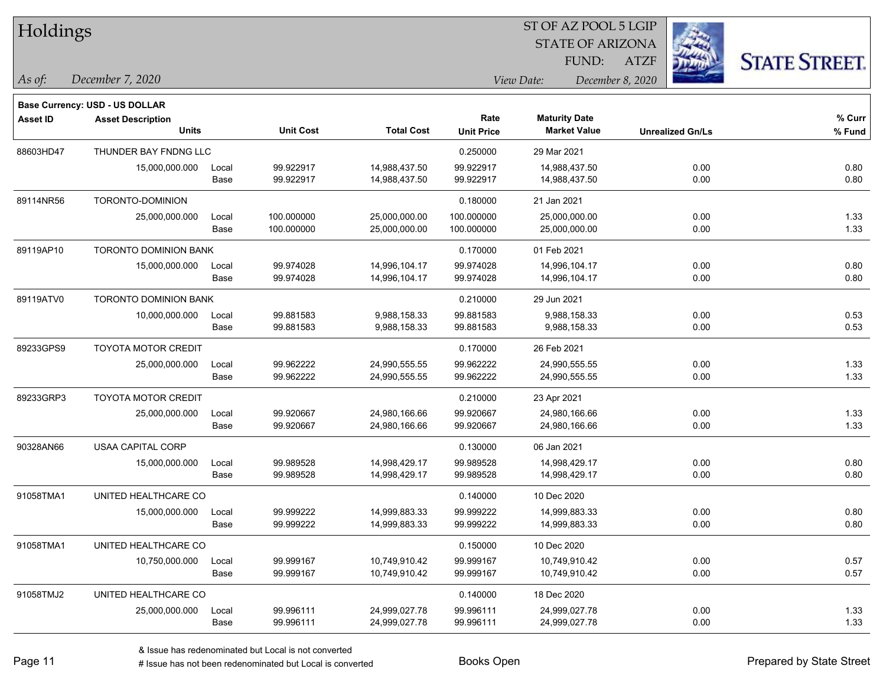| Holdings        |                                       |       |                  |                   |                   |                         |                         |                      |
|-----------------|---------------------------------------|-------|------------------|-------------------|-------------------|-------------------------|-------------------------|----------------------|
|                 |                                       |       |                  |                   |                   | <b>STATE OF ARIZONA</b> |                         |                      |
|                 |                                       |       |                  |                   |                   | FUND:                   | <b>ATZF</b>             | <b>STATE STREET.</b> |
| As of:          | December 7, 2020                      |       |                  |                   |                   | View Date:              | December 8, 2020        |                      |
|                 | <b>Base Currency: USD - US DOLLAR</b> |       |                  |                   |                   |                         |                         |                      |
| <b>Asset ID</b> | <b>Asset Description</b>              |       |                  |                   | Rate              | <b>Maturity Date</b>    |                         | $%$ Curr             |
|                 | <b>Units</b>                          |       | <b>Unit Cost</b> | <b>Total Cost</b> | <b>Unit Price</b> | <b>Market Value</b>     | <b>Unrealized Gn/Ls</b> | % Fund               |
| 88603HD47       | THUNDER BAY FNDNG LLC                 |       |                  |                   | 0.250000          | 29 Mar 2021             |                         |                      |
|                 | 15,000,000.000                        | Local | 99.922917        | 14,988,437.50     | 99.922917         | 14,988,437.50           | 0.00                    | 0.80                 |
|                 |                                       | Base  | 99.922917        | 14,988,437.50     | 99.922917         | 14,988,437.50           | 0.00                    | 0.80                 |
| 89114NR56       | TORONTO-DOMINION                      |       |                  |                   | 0.180000          | 21 Jan 2021             |                         |                      |
|                 | 25,000,000.000                        | Local | 100.000000       | 25,000,000.00     | 100.000000        | 25,000,000.00           | 0.00                    | 1.33                 |
|                 |                                       | Base  | 100.000000       | 25,000,000.00     | 100.000000        | 25,000,000.00           | 0.00                    | 1.33                 |
| 89119AP10       | <b>TORONTO DOMINION BANK</b>          |       |                  |                   | 0.170000          | 01 Feb 2021             |                         |                      |
|                 | 15,000,000.000                        | Local | 99.974028        | 14,996,104.17     | 99.974028         | 14,996,104.17           | 0.00                    | 0.80                 |
|                 |                                       | Base  | 99.974028        | 14,996,104.17     | 99.974028         | 14,996,104.17           | 0.00                    | 0.80                 |
| 89119ATV0       | <b>TORONTO DOMINION BANK</b>          |       |                  |                   | 0.210000          | 29 Jun 2021             |                         |                      |
|                 | 10,000,000.000                        | Local | 99.881583        | 9,988,158.33      | 99.881583         | 9,988,158.33            | 0.00                    | 0.53                 |
|                 |                                       | Base  | 99.881583        | 9,988,158.33      | 99.881583         | 9,988,158.33            | 0.00                    | 0.53                 |
| 89233GPS9       | <b>TOYOTA MOTOR CREDIT</b>            |       |                  |                   | 0.170000          | 26 Feb 2021             |                         |                      |
|                 | 25,000,000.000                        | Local | 99.962222        | 24,990,555.55     | 99.962222         | 24,990,555.55           | 0.00                    | 1.33                 |
|                 |                                       | Base  | 99.962222        | 24,990,555.55     | 99.962222         | 24,990,555.55           | 0.00                    | 1.33                 |
| 89233GRP3       | TOYOTA MOTOR CREDIT                   |       |                  |                   | 0.210000          | 23 Apr 2021             |                         |                      |
|                 | 25,000,000.000                        | Local | 99.920667        | 24,980,166.66     | 99.920667         | 24,980,166.66           | 0.00                    | 1.33                 |
|                 |                                       | Base  | 99.920667        | 24,980,166.66     | 99.920667         | 24,980,166.66           | 0.00                    | 1.33                 |
| 90328AN66       | <b>USAA CAPITAL CORP</b>              |       |                  |                   | 0.130000          | 06 Jan 2021             |                         |                      |
|                 | 15,000,000.000                        | Local | 99.989528        | 14,998,429.17     | 99.989528         | 14,998,429.17           | 0.00                    | 0.80                 |
|                 |                                       | Base  | 99.989528        | 14,998,429.17     | 99.989528         | 14,998,429.17           | 0.00                    | 0.80                 |
| 91058TMA1       | UNITED HEALTHCARE CO                  |       |                  |                   | 0.140000          | 10 Dec 2020             |                         |                      |
|                 | 15,000,000.000                        | Local | 99.999222        | 14,999,883.33     | 99.999222         | 14,999,883.33           | 0.00                    | 0.80                 |
|                 |                                       | Base  | 99.999222        | 14,999,883.33     | 99.999222         | 14,999,883.33           | 0.00                    | 0.80                 |
| 91058TMA1       | UNITED HEALTHCARE CO                  |       |                  |                   | 0.150000          | 10 Dec 2020             |                         |                      |
|                 | 10,750,000.000                        | Local | 99.999167        | 10,749,910.42     | 99.999167         | 10,749,910.42           | 0.00                    | 0.57                 |
|                 |                                       | Base  | 99.999167        | 10,749,910.42     | 99.999167         | 10,749,910.42           | 0.00                    | 0.57                 |
| 91058TMJ2       | UNITED HEALTHCARE CO                  |       |                  |                   | 0.140000          | 18 Dec 2020             |                         |                      |
|                 | 25,000,000.000                        | Local | 99.996111        | 24,999,027.78     | 99.996111         | 24,999,027.78           | 0.00                    | 1.33                 |
|                 |                                       | Base  | 99.996111        | 24,999,027.78     | 99.996111         | 24,999,027.78           | 0.00                    | 1.33                 |

 $ST$  OF AZ POOL 5 LGIP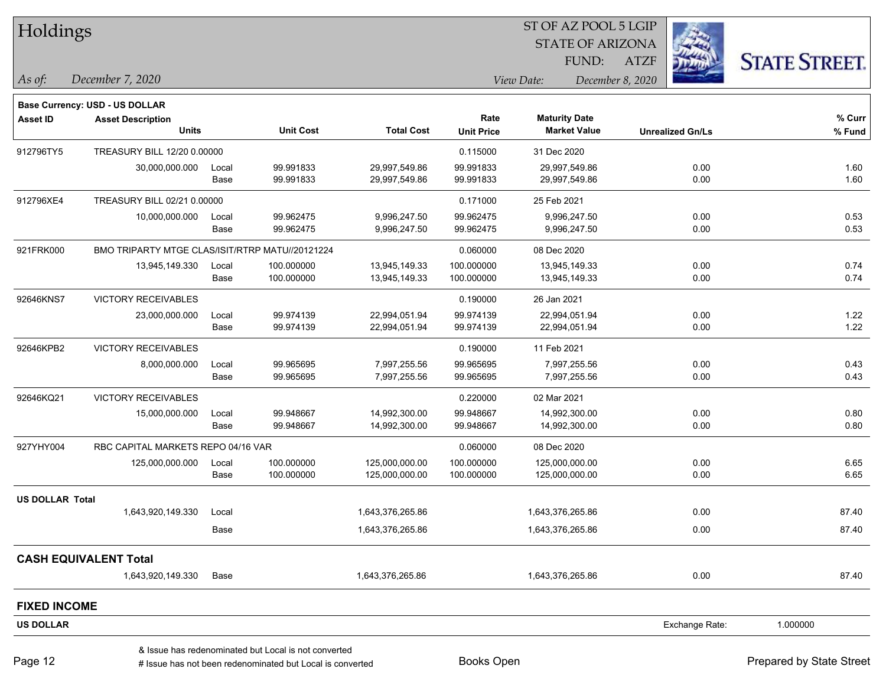|                        | Holdings                                        |               |                                                      |                                  |                          | ST OF AZ POOL 5 LGIP             |                  |                         |                      |  |
|------------------------|-------------------------------------------------|---------------|------------------------------------------------------|----------------------------------|--------------------------|----------------------------------|------------------|-------------------------|----------------------|--|
|                        |                                                 |               |                                                      |                                  |                          | <b>STATE OF ARIZONA</b>          |                  |                         |                      |  |
|                        |                                                 |               |                                                      |                                  |                          | FUND:                            | <b>ATZF</b>      |                         | <b>STATE STREET.</b> |  |
| As of:                 | December 7, 2020                                |               |                                                      |                                  |                          | View Date:                       | December 8, 2020 |                         |                      |  |
|                        | Base Currency: USD - US DOLLAR                  |               |                                                      |                                  |                          |                                  |                  |                         |                      |  |
| <b>Asset ID</b>        | <b>Asset Description</b>                        |               |                                                      |                                  | Rate                     | <b>Maturity Date</b>             |                  |                         | % Curr               |  |
|                        | <b>Units</b>                                    |               | <b>Unit Cost</b>                                     | <b>Total Cost</b>                | <b>Unit Price</b>        | <b>Market Value</b>              |                  | <b>Unrealized Gn/Ls</b> | % Fund               |  |
| 912796TY5              | TREASURY BILL 12/20 0.00000                     |               |                                                      |                                  | 0.115000                 | 31 Dec 2020                      |                  |                         |                      |  |
|                        | 30,000,000.000                                  | Local         | 99.991833                                            | 29,997,549.86                    | 99.991833                | 29,997,549.86                    |                  | 0.00                    | 1.60                 |  |
|                        |                                                 | Base          | 99.991833                                            | 29,997,549.86                    | 99.991833                | 29,997,549.86                    |                  | 0.00                    | 1.60                 |  |
| 912796XE4              | TREASURY BILL 02/21 0.00000                     |               |                                                      |                                  | 0.171000                 | 25 Feb 2021                      |                  |                         |                      |  |
|                        | 10,000,000.000                                  | Local         | 99.962475                                            | 9,996,247.50                     | 99.962475                | 9,996,247.50                     |                  | 0.00                    | 0.53                 |  |
|                        |                                                 | Base          | 99.962475                                            | 9,996,247.50                     | 99.962475                | 9,996,247.50                     |                  | 0.00                    | 0.53                 |  |
| 921FRK000              | BMO TRIPARTY MTGE CLAS/ISIT/RTRP MATU//20121224 |               |                                                      |                                  | 0.060000                 | 08 Dec 2020                      |                  |                         |                      |  |
|                        | 13,945,149.330                                  | Local         | 100.000000                                           | 13,945,149.33                    | 100.000000               | 13,945,149.33                    |                  | 0.00                    | 0.74                 |  |
|                        |                                                 | Base          | 100.000000                                           | 13,945,149.33                    | 100.000000               | 13,945,149.33                    |                  | 0.00                    | 0.74                 |  |
| 92646KNS7              | VICTORY RECEIVABLES                             |               |                                                      |                                  | 0.190000                 | 26 Jan 2021                      |                  |                         |                      |  |
|                        | 23,000,000.000                                  | Local         | 99.974139                                            | 22,994,051.94                    | 99.974139                | 22,994,051.94                    |                  | 0.00                    | 1.22                 |  |
|                        |                                                 | Base          | 99.974139                                            | 22,994,051.94                    | 99.974139                | 22,994,051.94                    |                  | 0.00                    | 1.22                 |  |
| 92646KPB2              | <b>VICTORY RECEIVABLES</b>                      |               |                                                      |                                  | 0.190000                 | 11 Feb 2021                      |                  |                         |                      |  |
|                        | 8,000,000.000                                   | Local         | 99.965695                                            | 7,997,255.56                     | 99.965695                | 7,997,255.56                     |                  | 0.00                    | 0.43                 |  |
|                        |                                                 | Base          | 99.965695                                            | 7,997,255.56                     | 99.965695                | 7,997,255.56                     |                  | 0.00                    | 0.43                 |  |
| 92646KQ21              | <b>VICTORY RECEIVABLES</b>                      |               |                                                      |                                  | 0.220000                 | 02 Mar 2021                      |                  |                         |                      |  |
|                        | 15,000,000.000                                  | Local         | 99.948667                                            | 14,992,300.00                    | 99.948667                | 14,992,300.00                    |                  | 0.00                    | 0.80                 |  |
|                        |                                                 | Base          | 99.948667                                            | 14,992,300.00                    | 99.948667                | 14,992,300.00                    |                  | 0.00                    | 0.80                 |  |
| 927YHY004              | RBC CAPITAL MARKETS REPO 04/16 VAR              |               |                                                      |                                  | 0.060000                 | 08 Dec 2020                      |                  |                         |                      |  |
|                        | 125,000,000.000                                 | Local<br>Base | 100.000000<br>100.000000                             | 125,000,000.00<br>125,000,000.00 | 100.000000<br>100.000000 | 125,000,000.00<br>125,000,000.00 |                  | 0.00<br>0.00            | 6.65<br>6.65         |  |
|                        |                                                 |               |                                                      |                                  |                          |                                  |                  |                         |                      |  |
| <b>US DOLLAR Total</b> |                                                 |               |                                                      |                                  |                          |                                  |                  |                         |                      |  |
|                        | 1,643,920,149.330                               | Local         |                                                      | 1,643,376,265.86                 |                          | 1,643,376,265.86                 |                  | 0.00                    | 87.40                |  |
|                        |                                                 | Base          |                                                      | 1,643,376,265.86                 |                          | 1,643,376,265.86                 |                  | 0.00                    | 87.40                |  |
|                        | <b>CASH EQUIVALENT Total</b>                    |               |                                                      |                                  |                          |                                  |                  |                         |                      |  |
|                        | 1,643,920,149.330                               | Base          |                                                      | 1,643,376,265.86                 |                          | 1,643,376,265.86                 |                  | 0.00                    | 87.40                |  |
| <b>FIXED INCOME</b>    |                                                 |               |                                                      |                                  |                          |                                  |                  |                         |                      |  |
| <b>US DOLLAR</b>       |                                                 |               |                                                      |                                  |                          |                                  |                  | Exchange Rate:          | 1.000000             |  |
|                        |                                                 |               | & Issue has redenominated but Local is not converted |                                  |                          |                                  |                  |                         |                      |  |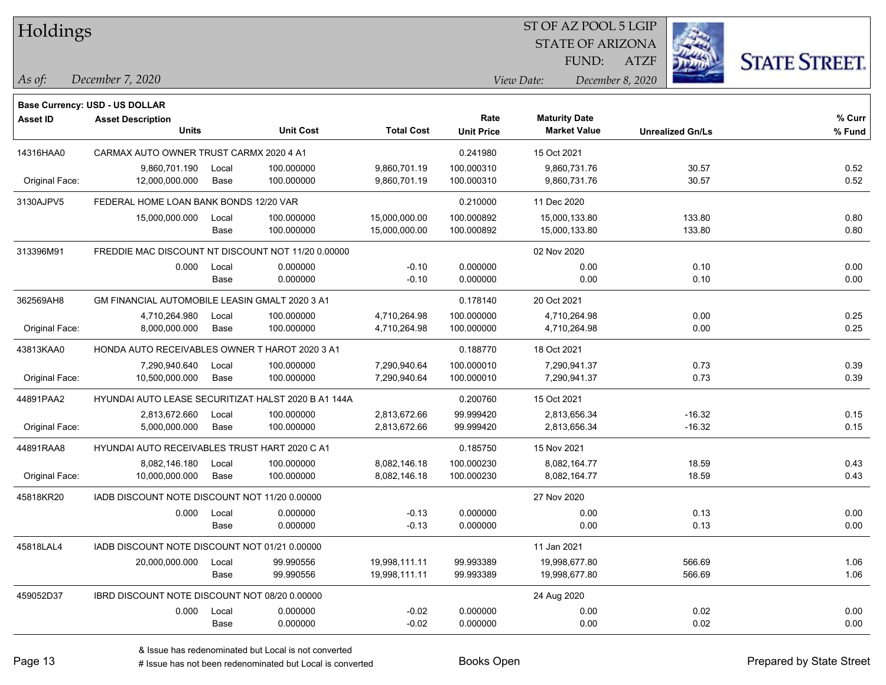| Holdings        |                                                      |       |                  |                   | ST OF AZ POOL 5 LGIP |             |                         |                  |                         |                      |
|-----------------|------------------------------------------------------|-------|------------------|-------------------|----------------------|-------------|-------------------------|------------------|-------------------------|----------------------|
|                 |                                                      |       |                  |                   |                      |             | <b>STATE OF ARIZONA</b> |                  |                         |                      |
|                 |                                                      |       |                  |                   |                      |             | FUND:                   | <b>ATZF</b>      |                         | <b>STATE STREET.</b> |
| As of:          | December 7, 2020                                     |       |                  |                   |                      | View Date:  |                         | December 8, 2020 |                         |                      |
|                 | Base Currency: USD - US DOLLAR                       |       |                  |                   |                      |             |                         |                  |                         |                      |
| <b>Asset ID</b> | <b>Asset Description</b>                             |       |                  |                   | Rate                 |             | <b>Maturity Date</b>    |                  |                         | % Curr               |
|                 | <b>Units</b>                                         |       | <b>Unit Cost</b> | <b>Total Cost</b> | <b>Unit Price</b>    |             | <b>Market Value</b>     |                  | <b>Unrealized Gn/Ls</b> | % Fund               |
| 14316HAA0       | CARMAX AUTO OWNER TRUST CARMX 2020 4 A1              |       |                  |                   | 0.241980             | 15 Oct 2021 |                         |                  |                         |                      |
|                 | 9,860,701.190                                        | Local | 100.000000       | 9,860,701.19      | 100.000310           |             | 9,860,731.76            |                  | 30.57                   | 0.52                 |
| Original Face:  | 12,000,000.000                                       | Base  | 100.000000       | 9,860,701.19      | 100.000310           |             | 9,860,731.76            |                  | 30.57                   | 0.52                 |
| 3130AJPV5       | FEDERAL HOME LOAN BANK BONDS 12/20 VAR               |       |                  |                   | 0.210000             | 11 Dec 2020 |                         |                  |                         |                      |
|                 | 15,000,000.000                                       | Local | 100.000000       | 15,000,000.00     | 100.000892           |             | 15,000,133.80           |                  | 133.80                  | 0.80                 |
|                 |                                                      | Base  | 100.000000       | 15,000,000.00     | 100.000892           |             | 15,000,133.80           |                  | 133.80                  | 0.80                 |
| 313396M91       | FREDDIE MAC DISCOUNT NT DISCOUNT NOT 11/20 0.00000   |       |                  |                   |                      | 02 Nov 2020 |                         |                  |                         |                      |
|                 | 0.000                                                | Local | 0.000000         | $-0.10$           | 0.000000             |             | 0.00                    |                  | 0.10                    | 0.00                 |
|                 |                                                      | Base  | 0.000000         | $-0.10$           | 0.000000             |             | 0.00                    |                  | 0.10                    | 0.00                 |
| 362569AH8       | GM FINANCIAL AUTOMOBILE LEASIN GMALT 2020 3 A1       |       |                  |                   | 0.178140             | 20 Oct 2021 |                         |                  |                         |                      |
|                 | 4,710,264.980                                        | Local | 100.000000       | 4,710,264.98      | 100.000000           |             | 4,710,264.98            |                  | 0.00                    | 0.25                 |
| Original Face:  | 8,000,000.000                                        | Base  | 100.000000       | 4,710,264.98      | 100.000000           |             | 4,710,264.98            |                  | 0.00                    | 0.25                 |
| 43813KAA0       | HONDA AUTO RECEIVABLES OWNER T HAROT 2020 3 A1       |       |                  |                   | 0.188770             | 18 Oct 2021 |                         |                  |                         |                      |
|                 | 7,290,940.640                                        | Local | 100.000000       | 7,290,940.64      | 100.000010           |             | 7,290,941.37            |                  | 0.73                    | 0.39                 |
| Original Face:  | 10,500,000.000                                       | Base  | 100.000000       | 7,290,940.64      | 100.000010           |             | 7,290,941.37            |                  | 0.73                    | 0.39                 |
| 44891PAA2       | HYUNDAI AUTO LEASE SECURITIZAT HALST 2020 B A1 144A  |       |                  |                   | 0.200760             | 15 Oct 2021 |                         |                  |                         |                      |
|                 | 2,813,672.660                                        | Local | 100.000000       | 2,813,672.66      | 99.999420            |             | 2,813,656.34            |                  | $-16.32$                | 0.15                 |
| Original Face:  | 5,000,000.000                                        | Base  | 100.000000       | 2,813,672.66      | 99.999420            |             | 2,813,656.34            |                  | $-16.32$                | 0.15                 |
| 44891RAA8       | <b>HYUNDAI AUTO RECEIVABLES TRUST HART 2020 C A1</b> |       |                  |                   | 0.185750             | 15 Nov 2021 |                         |                  |                         |                      |
|                 | 8,082,146.180                                        | Local | 100.000000       | 8,082,146.18      | 100.000230           |             | 8,082,164.77            |                  | 18.59                   | 0.43                 |
| Original Face:  | 10,000,000.000                                       | Base  | 100.000000       | 8,082,146.18      | 100.000230           |             | 8,082,164.77            |                  | 18.59                   | 0.43                 |
| 45818KR20       | IADB DISCOUNT NOTE DISCOUNT NOT 11/20 0.00000        |       |                  |                   |                      | 27 Nov 2020 |                         |                  |                         |                      |
|                 | 0.000                                                | Local | 0.000000         | $-0.13$           | 0.000000             |             | 0.00                    |                  | 0.13                    | 0.00                 |
|                 |                                                      | Base  | 0.000000         | $-0.13$           | 0.000000             |             | 0.00                    |                  | 0.13                    | 0.00                 |
| 45818LAL4       | IADB DISCOUNT NOTE DISCOUNT NOT 01/21 0.00000        |       |                  |                   |                      | 11 Jan 2021 |                         |                  |                         |                      |
|                 | 20,000,000.000                                       | Local | 99.990556        | 19,998,111.11     | 99.993389            |             | 19,998,677.80           |                  | 566.69                  | 1.06                 |
|                 |                                                      | Base  | 99.990556        | 19,998,111.11     | 99.993389            |             | 19,998,677.80           |                  | 566.69                  | 1.06                 |
| 459052D37       | IBRD DISCOUNT NOTE DISCOUNT NOT 08/20 0.00000        |       |                  |                   |                      | 24 Aug 2020 |                         |                  |                         |                      |
|                 | 0.000                                                | Local | 0.000000         | $-0.02$           | 0.000000             |             | 0.00                    |                  | 0.02                    | 0.00                 |
|                 |                                                      | Base  | 0.000000         | $-0.02$           | 0.000000             |             | 0.00                    |                  | 0.02                    | 0.00                 |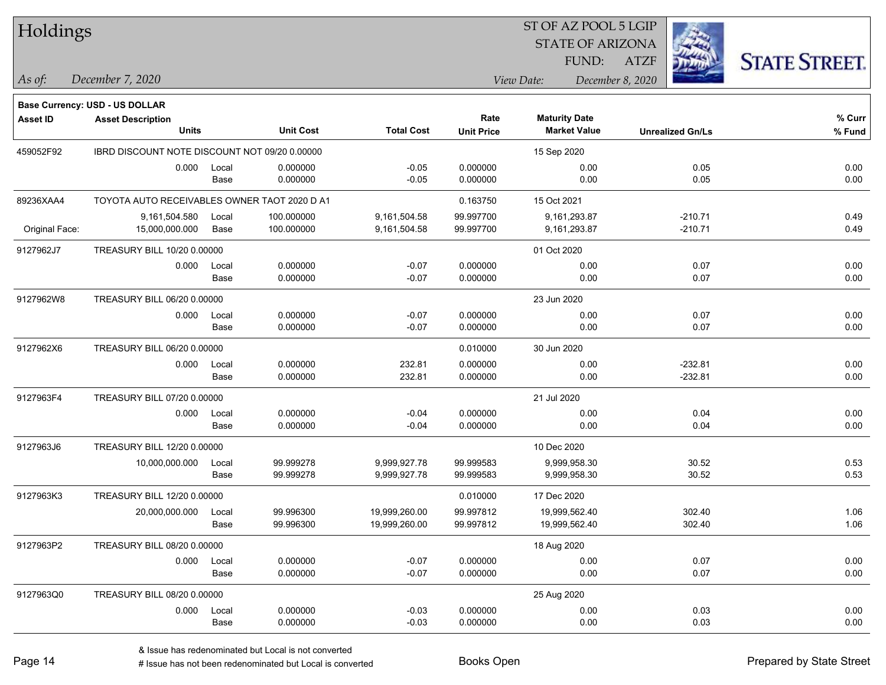| Holdings        |                                                                   |       |                  |                   |                   | ST OF AZ POOL 5 LGIP    |                         |                      |
|-----------------|-------------------------------------------------------------------|-------|------------------|-------------------|-------------------|-------------------------|-------------------------|----------------------|
|                 |                                                                   |       |                  |                   |                   | <b>STATE OF ARIZONA</b> |                         |                      |
|                 |                                                                   |       |                  |                   |                   | FUND:                   | <b>ATZF</b>             | <b>STATE STREET.</b> |
| As of:          | December 7, 2020                                                  |       |                  |                   |                   | View Date:              | December 8, 2020        |                      |
|                 |                                                                   |       |                  |                   |                   |                         |                         |                      |
| <b>Asset ID</b> | <b>Base Currency: USD - US DOLLAR</b><br><b>Asset Description</b> |       |                  |                   | Rate              | <b>Maturity Date</b>    |                         | % Curr               |
|                 | <b>Units</b>                                                      |       | <b>Unit Cost</b> | <b>Total Cost</b> | <b>Unit Price</b> | <b>Market Value</b>     | <b>Unrealized Gn/Ls</b> | % Fund               |
| 459052F92       | IBRD DISCOUNT NOTE DISCOUNT NOT 09/20 0.00000                     |       |                  |                   |                   | 15 Sep 2020             |                         |                      |
|                 | 0.000                                                             | Local | 0.000000         | $-0.05$           | 0.000000          | 0.00                    | 0.05                    | 0.00                 |
|                 |                                                                   | Base  | 0.000000         | $-0.05$           | 0.000000          | 0.00                    | 0.05                    | 0.00                 |
| 89236XAA4       | TOYOTA AUTO RECEIVABLES OWNER TAOT 2020 D A1                      |       |                  |                   | 0.163750          | 15 Oct 2021             |                         |                      |
|                 | 9,161,504.580                                                     | Local | 100.000000       | 9,161,504.58      | 99.997700         | 9,161,293.87            | $-210.71$               | 0.49                 |
| Original Face:  | 15,000,000.000                                                    | Base  | 100.000000       | 9,161,504.58      | 99.997700         | 9,161,293.87            | $-210.71$               | 0.49                 |
| 9127962J7       | TREASURY BILL 10/20 0.00000                                       |       |                  |                   |                   | 01 Oct 2020             |                         |                      |
|                 | 0.000                                                             | Local | 0.000000         | $-0.07$           | 0.000000          | 0.00                    | 0.07                    | 0.00                 |
|                 |                                                                   | Base  | 0.000000         | $-0.07$           | 0.000000          | 0.00                    | 0.07                    | 0.00                 |
| 9127962W8       | TREASURY BILL 06/20 0.00000                                       |       |                  |                   |                   | 23 Jun 2020             |                         |                      |
|                 | 0.000                                                             | Local | 0.000000         | $-0.07$           | 0.000000          | 0.00                    | 0.07                    | 0.00                 |
|                 |                                                                   | Base  | 0.000000         | $-0.07$           | 0.000000          | 0.00                    | 0.07                    | 0.00                 |
| 9127962X6       | TREASURY BILL 06/20 0.00000                                       |       |                  |                   | 0.010000          | 30 Jun 2020             |                         |                      |
|                 | 0.000                                                             | Local | 0.000000         | 232.81            | 0.000000          | 0.00                    | $-232.81$               | 0.00                 |
|                 |                                                                   | Base  | 0.000000         | 232.81            | 0.000000          | 0.00                    | $-232.81$               | 0.00                 |
| 9127963F4       | TREASURY BILL 07/20 0.00000                                       |       |                  |                   |                   | 21 Jul 2020             |                         |                      |
|                 | 0.000                                                             | Local | 0.000000         | $-0.04$           | 0.000000          | 0.00                    | 0.04                    | 0.00                 |
|                 |                                                                   | Base  | 0.000000         | $-0.04$           | 0.000000          | 0.00                    | 0.04                    | 0.00                 |
| 9127963J6       | TREASURY BILL 12/20 0.00000                                       |       |                  |                   |                   | 10 Dec 2020             |                         |                      |
|                 | 10,000,000.000                                                    | Local | 99.999278        | 9,999,927.78      | 99.999583         | 9,999,958.30            | 30.52                   | 0.53                 |
|                 |                                                                   | Base  | 99.999278        | 9,999,927.78      | 99.999583         | 9,999,958.30            | 30.52                   | 0.53                 |
| 9127963K3       | TREASURY BILL 12/20 0.00000                                       |       |                  |                   | 0.010000          | 17 Dec 2020             |                         |                      |
|                 | 20,000,000.000 Local                                              |       | 99.996300        | 19,999,260.00     | 99.997812         | 19,999,562.40           | 302.40                  | 1.06                 |
|                 |                                                                   | Base  | 99.996300        | 19,999,260.00     | 99.997812         | 19,999,562.40           | 302.40                  | 1.06                 |
| 9127963P2       | TREASURY BILL 08/20 0.00000                                       |       |                  |                   |                   | 18 Aug 2020             |                         |                      |
|                 | 0.000                                                             | Local | 0.000000         | $-0.07$           | 0.000000          | 0.00                    | 0.07                    | 0.00                 |
|                 |                                                                   | Base  | 0.000000         | $-0.07$           | 0.000000          | 0.00                    | 0.07                    | 0.00                 |
| 9127963Q0       | TREASURY BILL 08/20 0.00000                                       |       |                  |                   |                   | 25 Aug 2020             |                         |                      |
|                 | 0.000                                                             | Local | 0.000000         | $-0.03$           | 0.000000          | 0.00                    | 0.03                    | 0.00                 |
|                 |                                                                   | Base  | 0.000000         | $-0.03$           | 0.000000          | 0.00                    | 0.03                    | 0.00                 |

# $TT$  11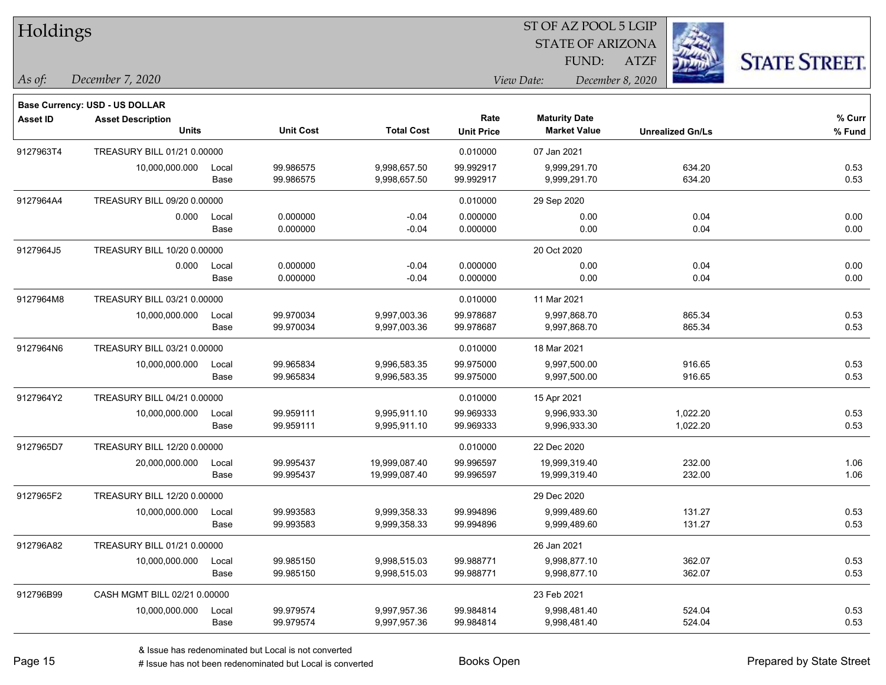| Holdings        |                                |       |                  |                   |                   | ST OF AZ POOL 5 LGIP    |                         |                      |
|-----------------|--------------------------------|-------|------------------|-------------------|-------------------|-------------------------|-------------------------|----------------------|
|                 |                                |       |                  |                   |                   | <b>STATE OF ARIZONA</b> |                         |                      |
|                 |                                |       |                  |                   |                   | FUND:                   | <b>ATZF</b>             | <b>STATE STREET.</b> |
| As of:          | December 7, 2020               |       |                  |                   |                   | View Date:              | December 8, 2020        |                      |
|                 | Base Currency: USD - US DOLLAR |       |                  |                   |                   |                         |                         |                      |
| <b>Asset ID</b> | <b>Asset Description</b>       |       |                  |                   | Rate              | <b>Maturity Date</b>    |                         | % Curr               |
|                 | <b>Units</b>                   |       | <b>Unit Cost</b> | <b>Total Cost</b> | <b>Unit Price</b> | <b>Market Value</b>     | <b>Unrealized Gn/Ls</b> | $%$ Fund             |
| 9127963T4       | TREASURY BILL 01/21 0.00000    |       |                  |                   | 0.010000          | 07 Jan 2021             |                         |                      |
|                 | 10,000,000.000                 | Local | 99.986575        | 9,998,657.50      | 99.992917         | 9,999,291.70            | 634.20                  | 0.53                 |
|                 |                                | Base  | 99.986575        | 9,998,657.50      | 99.992917         | 9,999,291.70            | 634.20                  | 0.53                 |
| 9127964A4       | TREASURY BILL 09/20 0.00000    |       |                  |                   | 0.010000          | 29 Sep 2020             |                         |                      |
|                 | 0.000                          | Local | 0.000000         | $-0.04$           | 0.000000          | 0.00                    | 0.04                    | 0.00                 |
|                 |                                | Base  | 0.000000         | $-0.04$           | 0.000000          | 0.00                    | 0.04                    | 0.00                 |
| 9127964J5       | TREASURY BILL 10/20 0.00000    |       |                  |                   |                   | 20 Oct 2020             |                         |                      |
|                 | 0.000                          | Local | 0.000000         | $-0.04$           | 0.000000          | 0.00                    | 0.04                    | 0.00                 |
|                 |                                | Base  | 0.000000         | $-0.04$           | 0.000000          | 0.00                    | 0.04                    | 0.00                 |
| 9127964M8       | TREASURY BILL 03/21 0.00000    |       |                  |                   | 0.010000          | 11 Mar 2021             |                         |                      |
|                 | 10,000,000.000                 | Local | 99.970034        | 9,997,003.36      | 99.978687         | 9,997,868.70            | 865.34                  | 0.53                 |
|                 |                                | Base  | 99.970034        | 9,997,003.36      | 99.978687         | 9,997,868.70            | 865.34                  | 0.53                 |
| 9127964N6       | TREASURY BILL 03/21 0.00000    |       |                  |                   | 0.010000          | 18 Mar 2021             |                         |                      |
|                 | 10,000,000.000                 | Local | 99.965834        | 9,996,583.35      | 99.975000         | 9,997,500.00            | 916.65                  | 0.53                 |
|                 |                                | Base  | 99.965834        | 9,996,583.35      | 99.975000         | 9,997,500.00            | 916.65                  | 0.53                 |
| 9127964Y2       | TREASURY BILL 04/21 0.00000    |       |                  |                   | 0.010000          | 15 Apr 2021             |                         |                      |
|                 | 10,000,000.000                 | Local | 99.959111        | 9,995,911.10      | 99.969333         | 9,996,933.30            | 1,022.20                | 0.53                 |
|                 |                                | Base  | 99.959111        | 9,995,911.10      | 99.969333         | 9,996,933.30            | 1,022.20                | 0.53                 |
| 9127965D7       | TREASURY BILL 12/20 0.00000    |       |                  |                   | 0.010000          | 22 Dec 2020             |                         |                      |
|                 | 20,000,000.000                 | Local | 99.995437        | 19,999,087.40     | 99.996597         | 19,999,319.40           | 232.00                  | 1.06                 |
|                 |                                | Base  | 99.995437        | 19,999,087.40     | 99.996597         | 19,999,319.40           | 232.00                  | 1.06                 |
| 9127965F2       | TREASURY BILL 12/20 0.00000    |       |                  |                   |                   | 29 Dec 2020             |                         |                      |
|                 | 10,000,000.000                 | Local | 99.993583        | 9,999,358.33      | 99.994896         | 9,999,489.60            | 131.27                  | 0.53                 |
|                 |                                | Base  | 99.993583        | 9,999,358.33      | 99.994896         | 9,999,489.60            | 131.27                  | 0.53                 |
| 912796A82       | TREASURY BILL 01/21 0.00000    |       |                  |                   |                   | 26 Jan 2021             |                         |                      |
|                 | 10,000,000.000                 | Local | 99.985150        | 9,998,515.03      | 99.988771         | 9,998,877.10            | 362.07                  | 0.53                 |
|                 |                                | Base  | 99.985150        | 9,998,515.03      | 99.988771         | 9,998,877.10            | 362.07                  | 0.53                 |
| 912796B99       | CASH MGMT BILL 02/21 0.00000   |       |                  |                   |                   | 23 Feb 2021             |                         |                      |
|                 | 10,000,000.000                 | Local | 99.979574        | 9,997,957.36      | 99.984814         | 9,998,481.40            | 524.04                  | 0.53                 |
|                 |                                | Base  | 99.979574        | 9,997,957.36      | 99.984814         | 9,998,481.40            | 524.04                  | 0.53                 |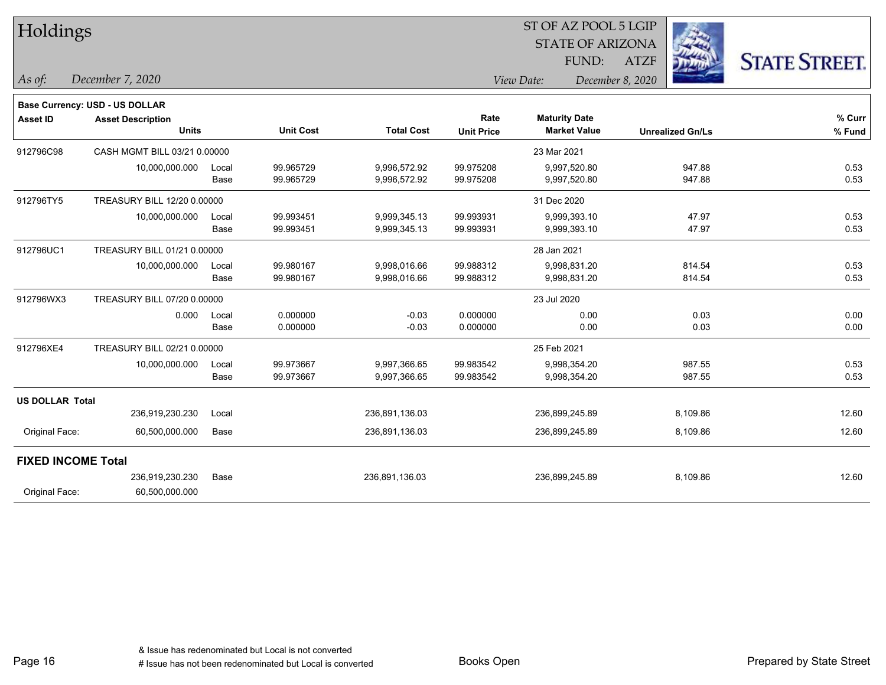| Holdings                  |                                          |               |                        |                              |                           | ST OF AZ POOL 5 LGIP                        |                         |                      |
|---------------------------|------------------------------------------|---------------|------------------------|------------------------------|---------------------------|---------------------------------------------|-------------------------|----------------------|
|                           |                                          |               |                        |                              |                           | <b>STATE OF ARIZONA</b>                     |                         |                      |
|                           |                                          |               |                        |                              |                           | FUND:                                       | <b>ATZF</b>             | <b>STATE STREET.</b> |
| $As$ of:                  | December 7, 2020                         |               |                        |                              |                           | View Date:<br>December 8, 2020              |                         |                      |
|                           | <b>Base Currency: USD - US DOLLAR</b>    |               |                        |                              |                           |                                             |                         |                      |
| <b>Asset ID</b>           | <b>Asset Description</b><br><b>Units</b> |               | <b>Unit Cost</b>       | <b>Total Cost</b>            | Rate<br><b>Unit Price</b> | <b>Maturity Date</b><br><b>Market Value</b> | <b>Unrealized Gn/Ls</b> | % Curr<br>% Fund     |
|                           |                                          |               |                        |                              |                           |                                             |                         |                      |
| 912796C98                 | CASH MGMT BILL 03/21 0.00000             |               |                        |                              |                           | 23 Mar 2021                                 |                         |                      |
|                           | 10,000,000.000                           | Local<br>Base | 99.965729<br>99.965729 | 9,996,572.92<br>9,996,572.92 | 99.975208<br>99.975208    | 9,997,520.80<br>9,997,520.80                | 947.88<br>947.88        | 0.53<br>0.53         |
| 912796TY5                 | TREASURY BILL 12/20 0.00000              |               |                        |                              |                           | 31 Dec 2020                                 |                         |                      |
|                           | 10,000,000.000                           | Local         | 99.993451              | 9,999,345.13                 | 99.993931                 | 9,999,393.10                                | 47.97                   | 0.53                 |
|                           |                                          | Base          | 99.993451              | 9,999,345.13                 | 99.993931                 | 9,999,393.10                                | 47.97                   | 0.53                 |
| 912796UC1                 | TREASURY BILL 01/21 0.00000              |               |                        |                              |                           | 28 Jan 2021                                 |                         |                      |
|                           | 10,000,000.000                           | Local         | 99.980167              | 9,998,016.66                 | 99.988312                 | 9,998,831.20                                | 814.54                  | 0.53                 |
|                           |                                          | Base          | 99.980167              | 9,998,016.66                 | 99.988312                 | 9,998,831.20                                | 814.54                  | 0.53                 |
| 912796WX3                 | TREASURY BILL 07/20 0.00000              |               |                        |                              |                           | 23 Jul 2020                                 |                         |                      |
|                           | 0.000                                    | Local         | 0.000000               | $-0.03$                      | 0.000000                  | 0.00                                        | 0.03                    | 0.00                 |
|                           |                                          | Base          | 0.000000               | $-0.03$                      | 0.000000                  | 0.00                                        | 0.03                    | 0.00                 |
| 912796XE4                 | TREASURY BILL 02/21 0.00000              |               |                        |                              |                           | 25 Feb 2021                                 |                         |                      |
|                           | 10,000,000.000                           | Local         | 99.973667              | 9,997,366.65                 | 99.983542                 | 9,998,354.20                                | 987.55                  | 0.53                 |
|                           |                                          | Base          | 99.973667              | 9,997,366.65                 | 99.983542                 | 9,998,354.20                                | 987.55                  | 0.53                 |
| <b>US DOLLAR Total</b>    |                                          |               |                        |                              |                           |                                             |                         |                      |
|                           | 236,919,230.230                          | Local         |                        | 236,891,136.03               |                           | 236,899,245.89                              | 8,109.86                | 12.60                |
| Original Face:            | 60,500,000.000                           | Base          |                        | 236,891,136.03               |                           | 236,899,245.89                              | 8,109.86                | 12.60                |
| <b>FIXED INCOME Total</b> |                                          |               |                        |                              |                           |                                             |                         |                      |
|                           | 236,919,230.230                          | Base          |                        | 236,891,136.03               |                           | 236,899,245.89                              | 8,109.86                | 12.60                |
| Original Face:            | 60,500,000.000                           |               |                        |                              |                           |                                             |                         |                      |
|                           |                                          |               |                        |                              |                           |                                             |                         |                      |

٦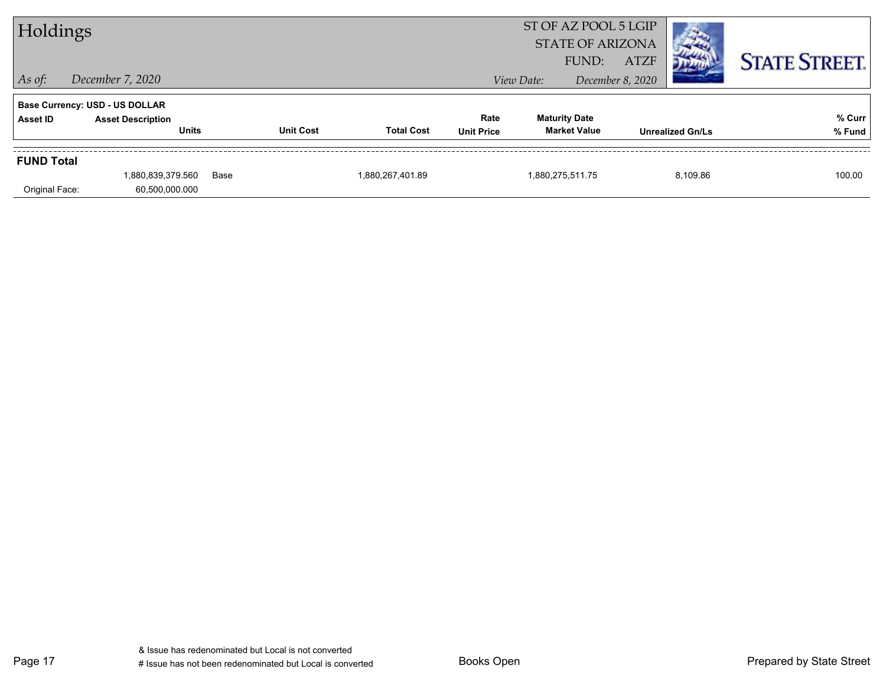| Holdings          |                                          |      |                  |                   |                           |                                             | ST OF AZ POOL 5 LGIP<br><b>STATE OF ARIZONA</b><br><b>ATZF</b><br>FUND: |                         | <b>STATE STREET.</b> |
|-------------------|------------------------------------------|------|------------------|-------------------|---------------------------|---------------------------------------------|-------------------------------------------------------------------------|-------------------------|----------------------|
| $\vert$ As of:    | December 7, 2020                         |      |                  |                   |                           | View Date:                                  | December 8, 2020                                                        |                         |                      |
|                   | <b>Base Currency: USD - US DOLLAR</b>    |      |                  |                   |                           |                                             |                                                                         |                         |                      |
| Asset ID          | <b>Asset Description</b><br><b>Units</b> |      | <b>Unit Cost</b> | <b>Total Cost</b> | Rate<br><b>Unit Price</b> | <b>Maturity Date</b><br><b>Market Value</b> |                                                                         | <b>Unrealized Gn/Ls</b> | % Curr<br>% Fund     |
| <b>FUND Total</b> |                                          |      |                  |                   |                           |                                             |                                                                         |                         |                      |
| Original Face:    | 1,880,839,379.560<br>60,500,000.000      | Base |                  | 1,880,267,401.89  |                           | 1,880,275,511.75                            |                                                                         | 8,109.86                | 100.00               |

Page 17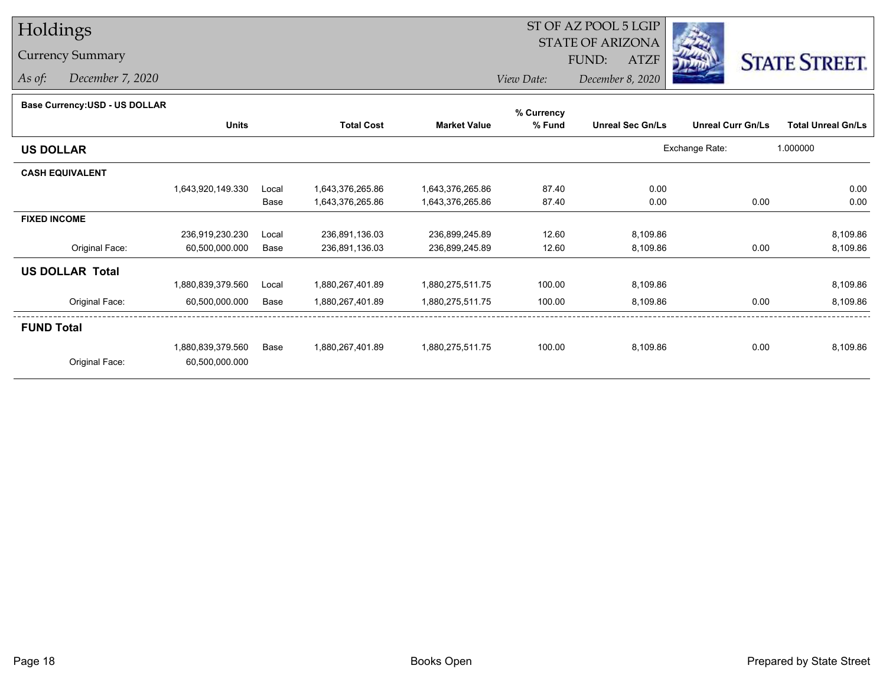## Holdings

## Currency Summary

*As of: December 7, 2020*

#### ST OF AZ POOL 5 LGIP STATE OF ARIZONAATZF FUND:



*View Date:December 8, 2020*

| <b>Base Currency: USD - US DOLLAR</b> |  |
|---------------------------------------|--|
|                                       |  |

|                   |       |                   |                     | % Currency |                         |                          |                           |
|-------------------|-------|-------------------|---------------------|------------|-------------------------|--------------------------|---------------------------|
| <b>Units</b>      |       | <b>Total Cost</b> | <b>Market Value</b> | % Fund     | <b>Unreal Sec Gn/Ls</b> | <b>Unreal Curr Gn/Ls</b> | <b>Total Unreal Gn/Ls</b> |
|                   |       |                   |                     |            |                         |                          | 1.000000                  |
|                   |       |                   |                     |            |                         |                          |                           |
| 1,643,920,149.330 | Local | 1,643,376,265.86  | 1,643,376,265.86    | 87.40      | 0.00                    |                          | 0.00                      |
|                   | Base  | 1,643,376,265.86  | 1,643,376,265.86    | 87.40      | 0.00                    | 0.00                     | 0.00                      |
|                   |       |                   |                     |            |                         |                          |                           |
| 236,919,230.230   | Local | 236,891,136.03    | 236,899,245.89      | 12.60      | 8,109.86                |                          | 8,109.86                  |
| 60,500,000.000    | Base  | 236,891,136.03    | 236,899,245.89      | 12.60      | 8,109.86                | 0.00                     | 8,109.86                  |
|                   |       |                   |                     |            |                         |                          |                           |
| 1,880,839,379.560 | Local | 1,880,267,401.89  | 1,880,275,511.75    | 100.00     | 8,109.86                |                          | 8,109.86                  |
| 60,500,000.000    | Base  | 1,880,267,401.89  | 1,880,275,511.75    | 100.00     | 8,109.86                | 0.00                     | 8,109.86                  |
|                   |       |                   |                     |            |                         |                          |                           |
| 1,880,839,379.560 | Base  | 1,880,267,401.89  | 1,880,275,511.75    | 100.00     | 8,109.86                | 0.00                     | 8,109.86                  |
| 60,500,000.000    |       |                   |                     |            |                         |                          |                           |
|                   |       |                   |                     |            |                         |                          | Exchange Rate:            |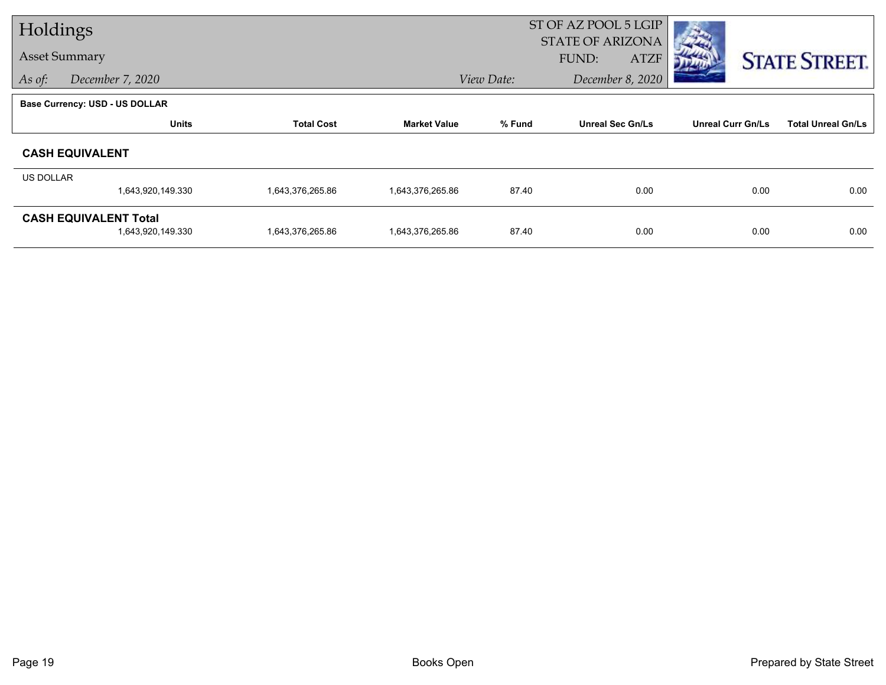| Holdings  |                                                   |                   |                     | ST OF AZ POOL 5 LGIP<br><b>STATE OF ARIZONA</b> |                         |                          |                           |  |
|-----------|---------------------------------------------------|-------------------|---------------------|-------------------------------------------------|-------------------------|--------------------------|---------------------------|--|
|           | <b>Asset Summary</b>                              |                   |                     |                                                 | <b>ATZF</b><br>FUND:    |                          | <b>STATE STREET.</b>      |  |
| As of:    | December 7, 2020                                  |                   |                     | View Date:                                      | December 8, 2020        |                          |                           |  |
|           | <b>Base Currency: USD - US DOLLAR</b>             |                   |                     |                                                 |                         |                          |                           |  |
|           | <b>Units</b>                                      | <b>Total Cost</b> | <b>Market Value</b> | % Fund                                          | <b>Unreal Sec Gn/Ls</b> | <b>Unreal Curr Gn/Ls</b> | <b>Total Unreal Gn/Ls</b> |  |
|           | <b>CASH EQUIVALENT</b>                            |                   |                     |                                                 |                         |                          |                           |  |
| US DOLLAR | 1,643,920,149.330                                 | 1,643,376,265.86  | 1,643,376,265.86    | 87.40                                           | 0.00                    | 0.00                     | 0.00                      |  |
|           | <b>CASH EQUIVALENT Total</b><br>1,643,920,149.330 | 1,643,376,265.86  | 1,643,376,265.86    | 87.40                                           | 0.00                    | 0.00                     | 0.00                      |  |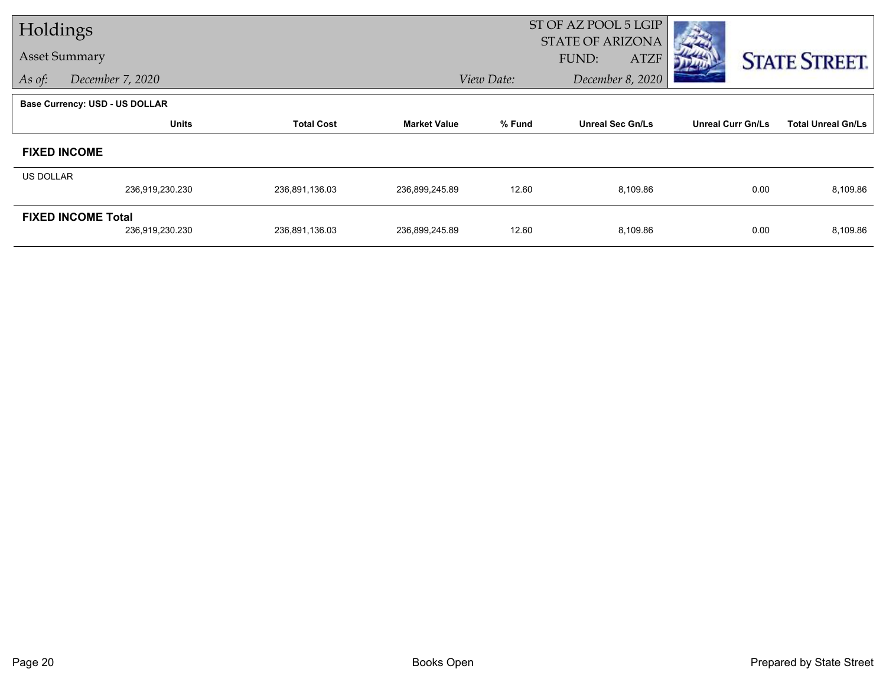| Holdings  |                                              |                   |                     | ST OF AZ POOL 5 LGIP<br><b>STATE OF ARIZONA</b> |                         |                          |                           |  |  |
|-----------|----------------------------------------------|-------------------|---------------------|-------------------------------------------------|-------------------------|--------------------------|---------------------------|--|--|
|           | <b>Asset Summary</b>                         |                   |                     |                                                 | <b>ATZF</b><br>FUND:    |                          | <b>STATE STREET.</b>      |  |  |
| As of:    | December 7, 2020                             |                   |                     | View Date:                                      | December 8, 2020        |                          |                           |  |  |
|           | <b>Base Currency: USD - US DOLLAR</b>        |                   |                     |                                                 |                         |                          |                           |  |  |
|           | <b>Units</b>                                 | <b>Total Cost</b> | <b>Market Value</b> | % Fund                                          | <b>Unreal Sec Gn/Ls</b> | <b>Unreal Curr Gn/Ls</b> | <b>Total Unreal Gn/Ls</b> |  |  |
|           | <b>FIXED INCOME</b>                          |                   |                     |                                                 |                         |                          |                           |  |  |
| US DOLLAR |                                              |                   |                     |                                                 |                         |                          |                           |  |  |
|           | 236,919,230.230                              | 236,891,136.03    | 236,899,245.89      | 12.60                                           | 8,109.86                | 0.00                     | 8,109.86                  |  |  |
|           | <b>FIXED INCOME Total</b><br>236,919,230.230 | 236,891,136.03    | 236,899,245.89      | 12.60                                           | 8,109.86                | 0.00                     | 8,109.86                  |  |  |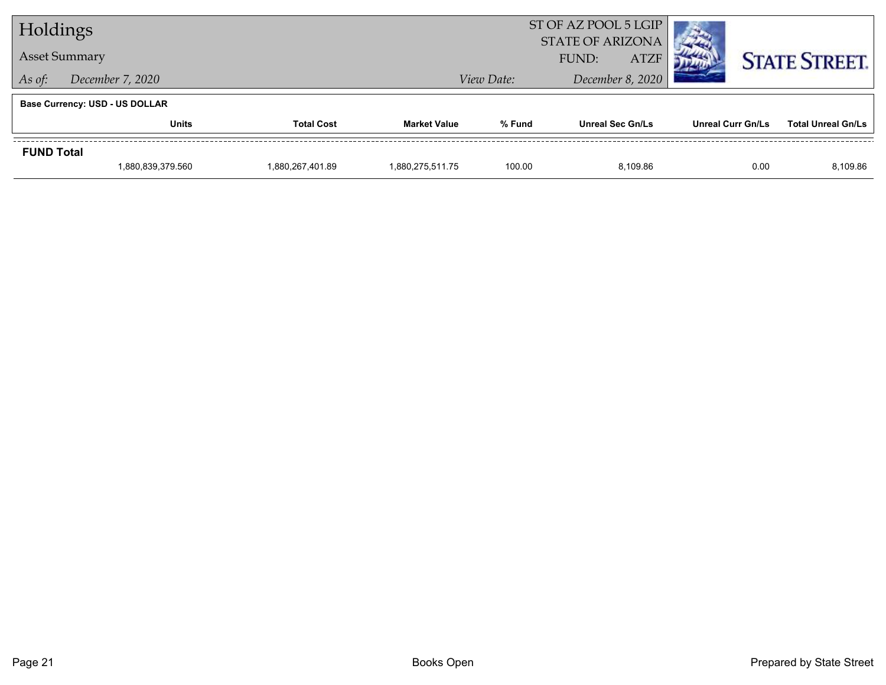| Holdings          |                                       |                  |                     |                                | ST OF AZ POOL 5 LGIP<br><b>STATE OF ARIZONA</b> |          |                          |                      |                           |  |
|-------------------|---------------------------------------|------------------|---------------------|--------------------------------|-------------------------------------------------|----------|--------------------------|----------------------|---------------------------|--|
|                   | <b>Asset Summary</b>                  |                  |                     | FUND:                          | <b>ATZF</b>                                     |          |                          | <b>STATE STREET.</b> |                           |  |
| As of:            | December 7, 2020                      |                  |                     | December 8, 2020<br>View Date: |                                                 |          |                          |                      |                           |  |
|                   | <b>Base Currency: USD - US DOLLAR</b> |                  |                     |                                |                                                 |          |                          |                      |                           |  |
|                   | <b>Units</b><br><b>Total Cost</b>     |                  | <b>Market Value</b> | % Fund                         | <b>Unreal Sec Gn/Ls</b>                         |          | <b>Unreal Curr Gn/Ls</b> |                      | <b>Total Unreal Gn/Ls</b> |  |
| <b>FUND Total</b> |                                       |                  |                     |                                |                                                 |          |                          |                      |                           |  |
|                   | 1,880,839,379.560                     | 1,880,267,401.89 | 1.880.275.511.75    | 100.00                         |                                                 | 8,109.86 |                          | 0.00                 | 8,109.86                  |  |